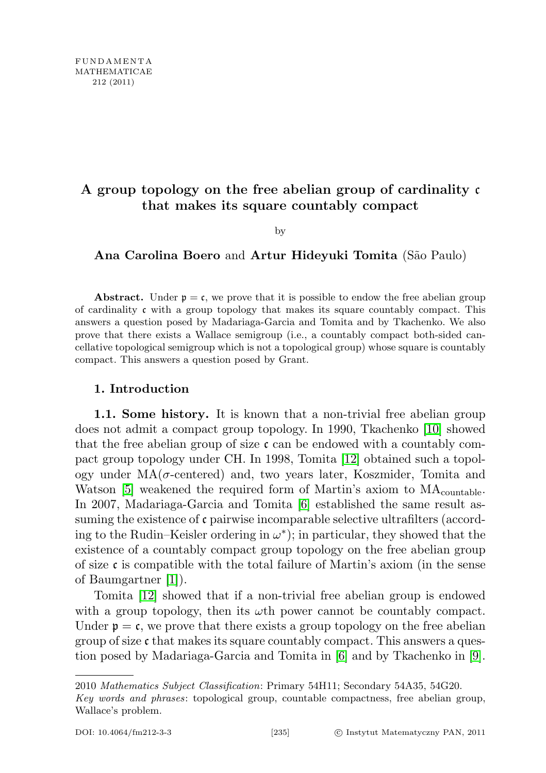## A group topology on the free abelian group of cardinality c that makes its square countably compact

by

Ana Carolina Boero and Artur Hideyuki Tomita (São Paulo)

Abstract. Under  $\mathfrak{p} = \mathfrak{c}$ , we prove that it is possible to endow the free abelian group of cardinality c with a group topology that makes its square countably compact. This answers a question posed by Madariaga-Garcia and Tomita and by Tkachenko. We also prove that there exists a Wallace semigroup (i.e., a countably compact both-sided cancellative topological semigroup which is not a topological group) whose square is countably compact. This answers a question posed by Grant.

## 1. Introduction

1.1. Some history. It is known that a non-trivial free abelian group does not admit a compact group topology. In 1990, Tkachenko [\[10\]](#page-24-0) showed that the free abelian group of size  $\mathfrak c$  can be endowed with a countably compact group topology under CH. In 1998, Tomita [\[12\]](#page-25-0) obtained such a topology under  $MA(\sigma$ -centered) and, two years later, Koszmider, Tomita and Watson [\[5\]](#page-24-1) weakened the required form of Martin's axiom to  $MA_{\text{countable}}$ . In 2007, Madariaga-Garcia and Tomita [\[6\]](#page-24-2) established the same result assuming the existence of  $\mathfrak c$  pairwise incomparable selective ultrafilters (according to the Rudin–Keisler ordering in  $\omega^*$ ); in particular, they showed that the existence of a countably compact group topology on the free abelian group of size  $\mathfrak c$  is compatible with the total failure of Martin's axiom (in the sense of Baumgartner [\[1\]](#page-24-3)).

Tomita [\[12\]](#page-25-0) showed that if a non-trivial free abelian group is endowed with a group topology, then its  $\omega$ th power cannot be countably compact. Under  $\mathfrak{p} = \mathfrak{c}$ , we prove that there exists a group topology on the free abelian group of size  $\mathfrak c$  that makes its square countably compact. This answers a question posed by Madariaga-Garcia and Tomita in [\[6\]](#page-24-2) and by Tkachenko in [\[9\]](#page-24-4).

<sup>2010</sup> Mathematics Subject Classification: Primary 54H11; Secondary 54A35, 54G20.

Key words and phrases: topological group, countable compactness, free abelian group, Wallace's problem.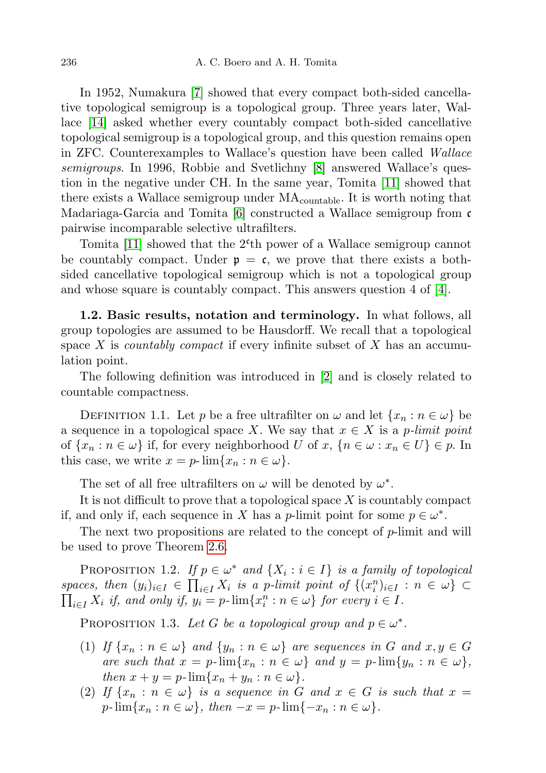In 1952, Numakura [\[7\]](#page-24-5) showed that every compact both-sided cancellative topological semigroup is a topological group. Three years later, Wallace [\[14\]](#page-25-1) asked whether every countably compact both-sided cancellative topological semigroup is a topological group, and this question remains open in ZFC. Counterexamples to Wallace's question have been called Wallace semigroups. In 1996, Robbie and Svetlichny [\[8\]](#page-24-6) answered Wallace's question in the negative under CH. In the same year, Tomita [\[11\]](#page-25-2) showed that there exists a Wallace semigroup under  $MA_{\text{countable}}$ . It is worth noting that Madariaga-Garcia and Tomita [\[6\]](#page-24-2) constructed a Wallace semigroup from c pairwise incomparable selective ultrafilters.

Tomita [\[11\]](#page-25-2) showed that the 2<sup>c</sup>th power of a Wallace semigroup cannot be countably compact. Under  $p = c$ , we prove that there exists a bothsided cancellative topological semigroup which is not a topological group and whose square is countably compact. This answers question 4 of [\[4\]](#page-24-7).

1.2. Basic results, notation and terminology. In what follows, all group topologies are assumed to be Hausdorff. We recall that a topological space X is *countably compact* if every infinite subset of X has an accumulation point.

The following definition was introduced in [\[2\]](#page-24-8) and is closely related to countable compactness.

DEFINITION 1.1. Let p be a free ultrafilter on  $\omega$  and let  $\{x_n : n \in \omega\}$  be a sequence in a topological space X. We say that  $x \in X$  is a *p*-limit point of  $\{x_n : n \in \omega\}$  if, for every neighborhood U of  $x, \{n \in \omega : x_n \in U\} \in p$ . In this case, we write  $x = p$ -  $\lim\{x_n : n \in \omega\}.$ 

The set of all free ultrafilters on  $\omega$  will be denoted by  $\omega^*$ .

It is not difficult to prove that a topological space  $X$  is countably compact if, and only if, each sequence in X has a p-limit point for some  $p \in \omega^*$ .

The next two propositions are related to the concept of p-limit and will be used to prove Theorem [2.6.](#page-5-0)

<span id="page-1-0"></span>PROPOSITION 1.2. If  $p \in \omega^*$  and  $\{X_i : i \in I\}$  is a family of topological spaces, then  $(y_i)_{i\in I} \in \prod_{i\in I} X_i$  is a p-limit point of  $\{(x_i^n)_{i\in I} : n \in \omega\} \subset$  $\prod_{i\in I} X_i$  if, and only if,  $y_i = p$ - $\lim\{x_i^n : n \in \omega\}$  for every  $i \in I$ .

<span id="page-1-1"></span>PROPOSITION 1.3. Let G be a topological group and  $p \in \omega^*$ .

- (1) If  $\{x_n : n \in \omega\}$  and  $\{y_n : n \in \omega\}$  are sequences in G and  $x, y \in G$ are such that  $x = p$ - $\lim\{x_n : n \in \omega\}$  and  $y = p$ - $\lim\{y_n : n \in \omega\}$ , then  $x + y = p$ - $\lim\{x_n + y_n : n \in \omega\}.$
- (2) If  $\{x_n : n \in \omega\}$  is a sequence in G and  $x \in G$  is such that  $x =$  $p\text{-}\lim\{x_n : n \in \omega\},\ \text{then } -x = p\text{-}\lim\{-x_n : n \in \omega\}.$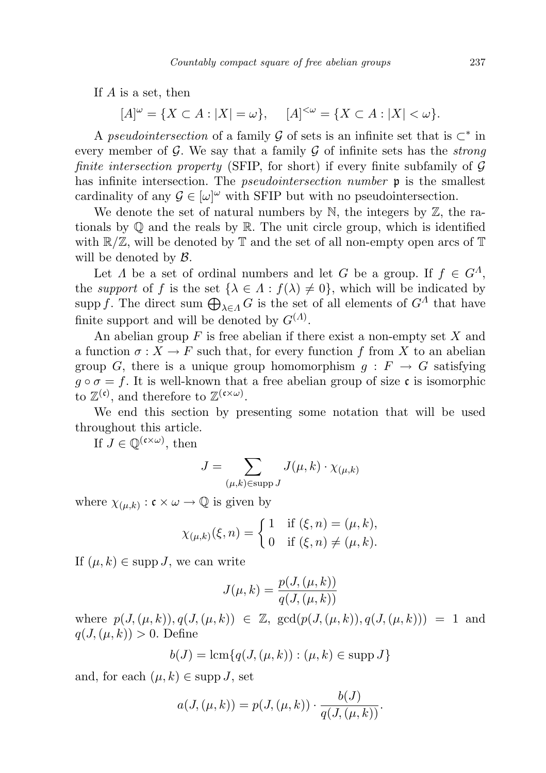If A is a set, then

$$
[A]^{\omega} = \{ X \subset A : |X| = \omega \}, \quad [A]^{<\omega} = \{ X \subset A : |X| < \omega \}.
$$

A pseudointersection of a family G of sets is an infinite set that is  $\subset^*$  in every member of  $\mathcal G$ . We say that a family  $\mathcal G$  of infinite sets has the *strong* finite intersection property (SFIP, for short) if every finite subfamily of  $\mathcal G$ has infinite intersection. The *pseudointersection number* **p** is the smallest cardinality of any  $\mathcal{G} \in [\omega]^\omega$  with SFIP but with no pseudointersection.

We denote the set of natural numbers by  $\mathbb N$ , the integers by  $\mathbb Z$ , the rationals by  $\mathbb Q$  and the reals by  $\mathbb R$ . The unit circle group, which is identified with  $\mathbb{R}/\mathbb{Z}$ , will be denoted by  $\mathbb{T}$  and the set of all non-empty open arcs of  $\mathbb{T}$ will be denoted by  $\mathcal{B}$ .

Let  $\Lambda$  be a set of ordinal numbers and let G be a group. If  $f \in G^{\Lambda}$ , the *support* of f is the set  $\{\lambda \in \Lambda : f(\lambda) \neq 0\}$ , which will be indicated by supp f. The direct sum  $\bigoplus_{\lambda \in \Lambda} G$  is the set of all elements of  $G^{\Lambda}$  that have finite support and will be denoted by  $G^{(\Lambda)}$ .

An abelian group  $F$  is free abelian if there exist a non-empty set  $X$  and a function  $\sigma: X \to F$  such that, for every function f from X to an abelian group G, there is a unique group homomorphism  $g: F \to G$  satisfying  $g \circ \sigma = f$ . It is well-known that a free abelian group of size c is isomorphic to  $\mathbb{Z}^{(\mathfrak{c})}$ , and therefore to  $\mathbb{Z}^{(\mathfrak{c}\times\omega)}$ .

We end this section by presenting some notation that will be used throughout this article.

If  $J \in \mathbb{Q}^{(\mathfrak{c} \times \omega)}$ , then

$$
J = \sum_{(\mu,k)\in \text{supp }J} J(\mu,k)\cdot \chi_{(\mu,k)}
$$

where  $\chi_{(\mu,k)} : \mathfrak{c} \times \omega \to \mathbb{Q}$  is given by

$$
\chi_{(\mu,k)}(\xi,n) = \begin{cases} 1 & \text{if } (\xi,n) = (\mu,k), \\ 0 & \text{if } (\xi,n) \neq (\mu,k). \end{cases}
$$

If  $(\mu, k) \in \text{supp } J$ , we can write

$$
J(\mu, k) = \frac{p(J, (\mu, k))}{q(J, (\mu, k))}
$$

where  $p(J, (\mu, k)), q(J, (\mu, k)) \in \mathbb{Z}$ ,  $gcd(p(J, (\mu, k)), q(J, (\mu, k))) = 1$  and  $q(J, (\mu, k)) > 0$ . Define

$$
b(J) = \operatorname{lcm}\{q(J,(\mu,k)) : (\mu,k) \in \operatorname{supp} J\}
$$

and, for each  $(\mu, k) \in \text{supp } J$ , set

$$
a(J, (\mu, k)) = p(J, (\mu, k)) \cdot \frac{b(J)}{q(J, (\mu, k))}.
$$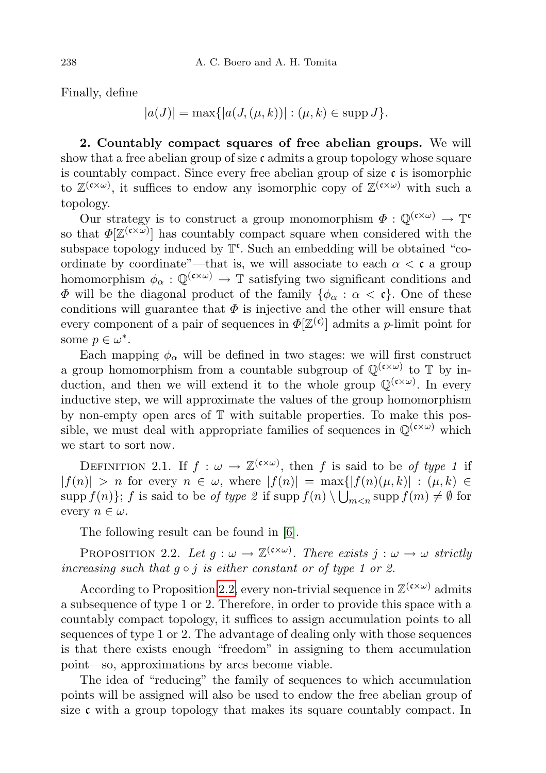Finally, define

$$
|a(J)| = \max\{|a(J, (\mu, k))| : (\mu, k) \in \text{supp } J\}.
$$

2. Countably compact squares of free abelian groups. We will show that a free abelian group of size  $\mathfrak c$  admits a group topology whose square is countably compact. Since every free abelian group of size  $\mathfrak c$  is isomorphic to  $\mathbb{Z}^{(\mathfrak{c}\times\omega)}$ , it suffices to endow any isomorphic copy of  $\mathbb{Z}^{(\mathfrak{c}\times\omega)}$  with such a topology.

Our strategy is to construct a group monomorphism  $\Phi: \mathbb{Q}^{(\mathfrak{c} \times \omega)} \to \mathbb{T}^{\mathfrak{c}}$ so that  $\Phi[\mathbb{Z}^{(\mathfrak{c}\times \omega)}]$  has countably compact square when considered with the subspace topology induced by  $\mathbb{T}^{\mathfrak{c}}$ . Such an embedding will be obtained "coordinate by coordinate"—that is, we will associate to each  $\alpha < \mathfrak{c}$  a group homomorphism  $\phi_{\alpha}: \mathbb{Q}^{(\mathfrak{c}\times \omega)} \to \mathbb{T}$  satisfying two significant conditions and  $\Phi$  will be the diagonal product of the family  $\{\phi_{\alpha} : \alpha < \mathfrak{c}\}\)$ . One of these conditions will guarantee that  $\Phi$  is injective and the other will ensure that every component of a pair of sequences in  $\Phi[\mathbb{Z}^{(c)}]$  admits a *p*-limit point for some  $p \in \omega^*$ .

Each mapping  $\phi_{\alpha}$  will be defined in two stages: we will first construct a group homomorphism from a countable subgroup of  $\mathbb{Q}^{(\mathfrak{c}\times\omega)}$  to  $\mathbb T$  by induction, and then we will extend it to the whole group  $\mathbb{Q}^{(\mathfrak{c}\times\omega)}$ . In every inductive step, we will approximate the values of the group homomorphism by non-empty open arcs of  $\mathbb T$  with suitable properties. To make this possible, we must deal with appropriate families of sequences in  $\mathbb{Q}^{(\mathfrak{c}\times\omega)}$  which we start to sort now.

DEFINITION 2.1. If  $f: \omega \to \mathbb{Z}^{(\mathfrak{c} \times \omega)}$ , then f is said to be of type 1 if  $|f(n)| > n$  for every  $n \in \omega$ , where  $|f(n)| = \max\{|f(n)(\mu, k)| : (\mu, k) \in$ supp  $f(n)$ ; f is said to be of type 2 if supp  $f(n) \setminus \bigcup_{m \leq n} \text{supp } f(m) \neq \emptyset$  for every  $n \in \omega$ .

The following result can be found in [\[6\]](#page-24-2).

<span id="page-3-0"></span>PROPOSITION 2.2. Let  $g : \omega \to \mathbb{Z}^{(\mathfrak{c} \times \omega)}$ . There exists  $j : \omega \to \omega$  strictly increasing such that  $g \circ j$  is either constant or of type 1 or 2.

According to Proposition [2.2,](#page-3-0) every non-trivial sequence in  $\mathbb{Z}^{(\mathfrak{c}\times\omega)}$  admits a subsequence of type 1 or 2. Therefore, in order to provide this space with a countably compact topology, it suffices to assign accumulation points to all sequences of type 1 or 2. The advantage of dealing only with those sequences is that there exists enough "freedom" in assigning to them accumulation point—so, approximations by arcs become viable.

The idea of "reducing" the family of sequences to which accumulation points will be assigned will also be used to endow the free abelian group of size  $\mathfrak c$  with a group topology that makes its square countably compact. In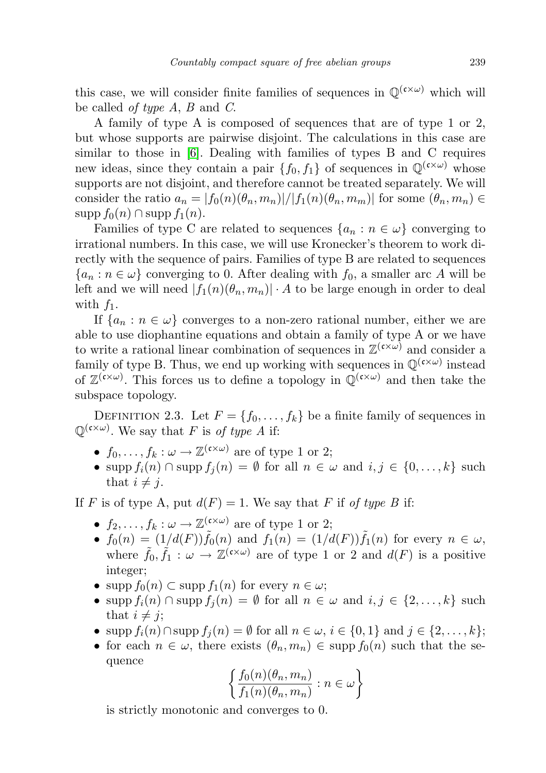this case, we will consider finite families of sequences in  $\mathbb{O}^{(\mathfrak{c}\times\omega)}$  which will be called of type A, B and C.

A family of type A is composed of sequences that are of type 1 or 2, but whose supports are pairwise disjoint. The calculations in this case are similar to those in [\[6\]](#page-24-2). Dealing with families of types B and C requires new ideas, since they contain a pair  $\{f_0, f_1\}$  of sequences in  $\mathbb{Q}^{(\mathfrak{c}\times\omega)}$  whose supports are not disjoint, and therefore cannot be treated separately. We will consider the ratio  $a_n = |f_0(n)(\theta_n, m_n)|/|f_1(n)(\theta_n, m_m)|$  for some  $(\theta_n, m_n) \in$  $\text{supp } f_0(n) \cap \text{supp } f_1(n).$ 

Families of type C are related to sequences  $\{a_n : n \in \omega\}$  converging to irrational numbers. In this case, we will use Kronecker's theorem to work directly with the sequence of pairs. Families of type B are related to sequences  ${a_n : n \in \omega}$  converging to 0. After dealing with  $f_0$ , a smaller arc A will be left and we will need  $|f_1(n)(\theta_n, m_n)| \cdot A$  to be large enough in order to deal with  $f_1$ .

If  $\{a_n : n \in \omega\}$  converges to a non-zero rational number, either we are able to use diophantine equations and obtain a family of type A or we have to write a rational linear combination of sequences in  $\mathbb{Z}^{(\mathfrak{c}\times\omega)}$  and consider a family of type B. Thus, we end up working with sequences in  $\mathbb{Q}^{(\mathfrak{c}\times\omega)}$  instead of  $\mathbb{Z}^{(\mathfrak{c}\times\omega)}$ . This forces us to define a topology in  $\mathbb{Q}^{(\mathfrak{c}\times\omega)}$  and then take the subspace topology.

DEFINITION 2.3. Let  $F = \{f_0, \ldots, f_k\}$  be a finite family of sequences in  $\mathbb{Q}^{(\mathfrak{c}\times\omega)}$ . We say that F is of type A if:

- $f_0, \ldots, f_k : \omega \to \mathbb{Z}^{(\mathfrak{c} \times \omega)}$  are of type 1 or 2;
- supp  $f_i(n) \cap \text{supp } f_i(n) = \emptyset$  for all  $n \in \omega$  and  $i, j \in \{0, ..., k\}$  such that  $i \neq j$ .

If F is of type A, put  $d(F) = 1$ . We say that F if of type B if:

- $f_2, \ldots, f_k : \omega \to \mathbb{Z}^{(\mathfrak{c} \times \omega)}$  are of type 1 or 2;
- $f_0(n) = (1/d(F)) \tilde{f}_0(n)$  and  $f_1(n) = (1/d(F)) \tilde{f}_1(n)$  for every  $n \in \omega$ , where  $\tilde{f}_0, \tilde{f}_1 : \omega \to \mathbb{Z}^{(\mathfrak{c} \times \omega)}$  are of type 1 or 2 and  $d(F)$  is a positive integer;
- supp  $f_0(n) \subset \text{supp } f_1(n)$  for every  $n \in \omega$ ;
- supp  $f_i(n) \cap \text{supp } f_j(n) = \emptyset$  for all  $n \in \omega$  and  $i, j \in \{2, ..., k\}$  such that  $i \neq j$ ;
- supp  $f_i(n) \cap \text{supp } f_i(n) = \emptyset$  for all  $n \in \omega, i \in \{0,1\}$  and  $j \in \{2,\ldots,k\}$ ;
- for each  $n \in \omega$ , there exists  $(\theta_n, m_n) \in \text{supp } f_0(n)$  such that the sequence

$$
\left\{\frac{f_0(n)(\theta_n, m_n)}{f_1(n)(\theta_n, m_n)} : n \in \omega\right\}
$$

is strictly monotonic and converges to 0.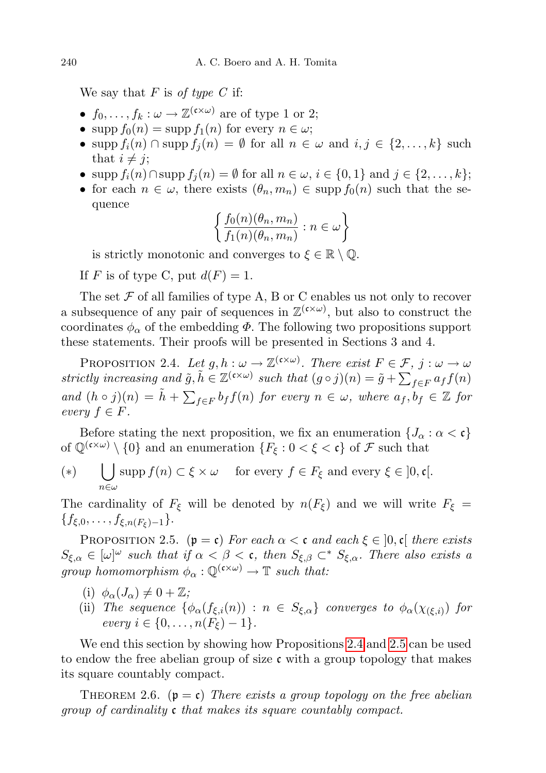We say that  $F$  is of type  $C$  if:

- $f_0, \ldots, f_k : \omega \to \mathbb{Z}^{(\mathfrak{c} \times \omega)}$  are of type 1 or 2;
- supp  $f_0(n) = \text{supp } f_1(n)$  for every  $n \in \omega$ ;
- supp  $f_i(n) \cap \text{supp } f_i(n) = \emptyset$  for all  $n \in \omega$  and  $i, j \in \{2, ..., k\}$  such that  $i \neq j$ ;
- supp  $f_i(n) \cap \text{supp } f_i(n) = \emptyset$  for all  $n \in \omega, i \in \{0, 1\}$  and  $j \in \{2, ..., k\}$ ;
- for each  $n \in \omega$ , there exists  $(\theta_n, m_n) \in \text{supp } f_0(n)$  such that the sequence

$$
\left\{\frac{f_0(n)(\theta_n, m_n)}{f_1(n)(\theta_n, m_n)} : n \in \omega\right\}
$$

is strictly monotonic and converges to  $\xi \in \mathbb{R} \setminus \mathbb{Q}$ .

If F is of type C, put  $d(F) = 1$ .

The set  $\mathcal F$  of all families of type A, B or C enables us not only to recover a subsequence of any pair of sequences in  $\mathbb{Z}^{(\mathfrak{c}\times\omega)}$ , but also to construct the coordinates  $\phi_{\alpha}$  of the embedding  $\Phi$ . The following two propositions support these statements. Their proofs will be presented in Sections 3 and 4.

<span id="page-5-1"></span>PROPOSITION 2.4. Let  $g, h : \omega \to \mathbb{Z}^{(\mathfrak{c} \times \omega)}$ . There exist  $F \in \mathcal{F}, j : \omega \to \omega$ strictly increasing and  $\tilde{g}, \tilde{h} \in \mathbb{Z}^{(\mathfrak{c} \times \omega)}$  such that  $(g \circ j)(n) = \tilde{g} + \sum_{f \in F} a_f f(n)$ and  $(h \circ j)(n) = \tilde{h} + \sum_{f \in F} b_f f(n)$  for every  $n \in \omega$ , where  $a_f, b_f \in \mathbb{Z}$  for every  $f \in F$ .

Before stating the next proposition, we fix an enumeration  $\{J_\alpha : \alpha < \mathfrak{c}\}\$ of  $\mathbb{Q}^{(\mathfrak{c}\times\omega)}\setminus\{0\}$  and an enumeration  $\{F_{\xi}:0<\xi<\mathfrak{c}\}\$  of  $\mathcal F$  such that

<span id="page-5-3"></span>(∗)  $\vert \ \ \vert$  $n\in\omega$  $\text{supp } f(n) \subset \xi \times \omega \quad \text{ for every } f \in F_{\xi} \text{ and every } \xi \in ]0, \mathfrak{c}[.$ 

The cardinality of  $F_{\xi}$  will be denoted by  $n(F_{\xi})$  and we will write  $F_{\xi}$  =  ${f_{\xi,0}, \ldots, f_{\xi,n(F_{\xi})-1}}.$ 

<span id="page-5-2"></span>PROPOSITION 2.5. ( $\mathfrak{p} = \mathfrak{c}$ ) For each  $\alpha < \mathfrak{c}$  and each  $\xi \in [0, \mathfrak{c}]$  there exists  $S_{\xi,\alpha} \in [\omega]^\omega$  such that if  $\alpha < \beta < \mathfrak{c}$ , then  $S_{\xi,\beta} \subset^* S_{\xi,\alpha}$ . There also exists a group homomorphism  $\phi_{\alpha} : \mathbb{Q}^{(\mathfrak{c} \times \omega)} \to \mathbb{T}$  such that:

- (i)  $\phi_{\alpha}(J_{\alpha}) \neq 0 + \mathbb{Z}$ ;
- (ii) The sequence  $\{\phi_{\alpha}(f_{\xi,i}(n)) : n \in S_{\xi,\alpha}\}\$  converges to  $\phi_{\alpha}(\chi_{(\xi,i)})$  for every  $i \in \{0, ..., n(F_{\xi}) - 1\}.$

We end this section by showing how Propositions [2.4](#page-5-1) and [2.5](#page-5-2) can be used to endow the free abelian group of size  $\mathfrak c$  with a group topology that makes its square countably compact.

<span id="page-5-0"></span>THEOREM 2.6.  $(p = c)$  There exists a group topology on the free abelian group of cardinality c that makes its square countably compact.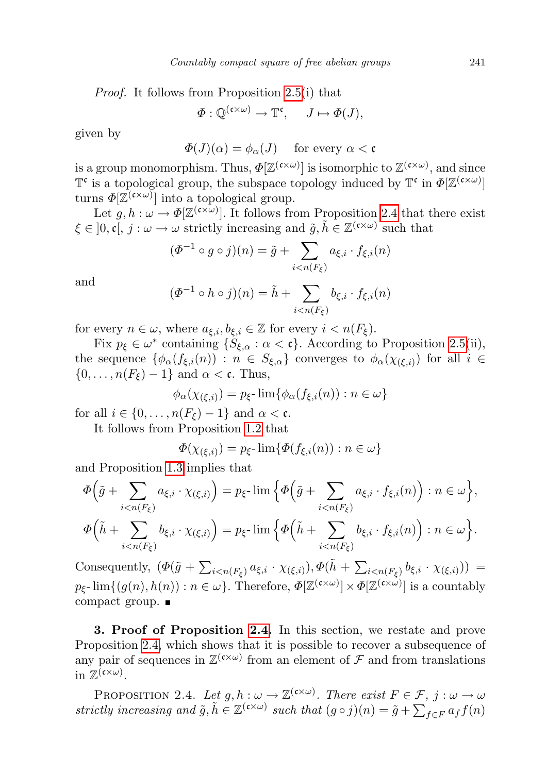Proof. It follows from Proposition [2.5\(](#page-5-2)i) that

$$
\Phi: \mathbb{Q}^{(\mathfrak{c} \times \omega)} \to \mathbb{T}^{\mathfrak{c}}, \quad J \mapsto \Phi(J),
$$

given by

$$
\Phi(J)(\alpha) = \phi_{\alpha}(J) \quad \text{ for every } \alpha < \mathfrak{c}
$$

is a group monomorphism. Thus,  $\Phi[\mathbb{Z}^{(\mathfrak{c}\times \omega)}]$  is isomorphic to  $\mathbb{Z}^{(\mathfrak{c}\times \omega)}$ , and since  $\mathbb{T}^{\mathfrak{c}}$  is a topological group, the subspace topology induced by  $\mathbb{T}^{\mathfrak{c}}$  in  $\Phi[\mathbb{Z}^{(\mathfrak{c}\times\omega)}]$ turns  $\Phi[\mathbb{Z}^{(\mathfrak{c}\times\omega)}]$  into a topological group.

Let  $g, h : \omega \to \Phi[\mathbb{Z}^{(\mathfrak{c} \times \omega)}]$ . It follows from Proposition [2.4](#page-5-1) that there exist  $\xi \in ]0, \mathfrak{c}], j : \omega \to \omega$  strictly increasing and  $\tilde{g}, \tilde{h} \in \mathbb{Z}^{(\mathfrak{c} \times \omega)}$  such that

$$
(\Phi^{-1} \circ g \circ j)(n) = \tilde{g} + \sum_{i < n(F_{\xi})} a_{\xi, i} \cdot f_{\xi, i}(n)
$$

and

$$
(\Phi^{-1} \circ h \circ j)(n) = \tilde{h} + \sum_{i < n(F_{\xi})} b_{\xi, i} \cdot f_{\xi, i}(n)
$$

for every  $n \in \omega$ , where  $a_{\xi,i}, b_{\xi,i} \in \mathbb{Z}$  for every  $i < n(F_{\xi})$ .

Fix  $p_{\xi} \in \omega^*$  containing  $\{\tilde{S}_{\xi,\alpha} : \alpha < \mathfrak{c}\}\)$ . According to Proposition [2.5\(](#page-5-2)ii), the sequence  $\{\phi_{\alpha}(f_{\xi,i}(n)) : n \in S_{\xi,\alpha}\}\)$  converges to  $\phi_{\alpha}(\chi_{(\xi,i)})$  for all  $i \in$  $\{0, \ldots, n(F_{\xi})-1\}$  and  $\alpha < \mathfrak{c}$ . Thus,

$$
\phi_{\alpha}(\chi_{(\xi,i)}) = p_{\xi} \text{-} \lim \{ \phi_{\alpha}(f_{\xi,i}(n)) : n \in \omega \}
$$

for all  $i \in \{0, \ldots, n(F_{\xi}) - 1\}$  and  $\alpha < \mathfrak{c}$ .

It follows from Proposition [1.2](#page-1-0) that

$$
\Phi(\chi_{(\xi,i)}) = p_{\xi} \text{-} \lim \{ \Phi(f_{\xi,i}(n)) : n \in \omega \}
$$

and Proposition [1.3](#page-1-1) implies that

$$
\Phi\left(\tilde{g} + \sum_{i < n(F_{\xi})} a_{\xi,i} \cdot \chi_{(\xi,i)}\right) = p_{\xi} - \lim \Big\{ \Phi\left(\tilde{g} + \sum_{i < n(F_{\xi})} a_{\xi,i} \cdot f_{\xi,i}(n)\right) : n \in \omega \Big\},\
$$
\n
$$
\Phi\left(\tilde{h} + \sum_{i < n(F_{\xi})} b_{\xi,i} \cdot \chi_{(\xi,i)}\right) = p_{\xi} - \lim \Big\{ \Phi\left(\tilde{h} + \sum_{i < n(F_{\xi})} b_{\xi,i} \cdot f_{\xi,i}(n)\right) : n \in \omega \Big\}.
$$

Consequently,  $(\Phi(\tilde{g} + \sum_{i \leq n(F_{\xi})} a_{\xi,i} \cdot \chi_{(\xi,i)}) , \Phi(\tilde{h} + \sum_{i \leq n(F_{\xi})} b_{\xi,i} \cdot \chi_{(\xi,i)}) ) =$  $p_{\xi}$ -  $\lim\{(g(n), h(n)) : n \in \omega\}$ . Therefore,  $\Phi[\mathbb{Z}^{(\mathfrak{c} \times \omega)}] \times \Phi[\mathbb{Z}^{(\mathfrak{c} \times \omega)}]$  is a countably compact group.

3. Proof of Proposition [2.4.](#page-5-1) In this section, we restate and prove Proposition [2.4,](#page-5-1) which shows that it is possible to recover a subsequence of any pair of sequences in  $\mathbb{Z}^{(\mathfrak{c}\times\omega)}$  from an element of  $\mathcal F$  and from translations in  $\mathbb{Z}^{(\mathfrak{c}\times\omega)}$ .

PROPOSITION 2.4. Let  $g, h : \omega \to \mathbb{Z}^{(\mathfrak{c} \times \omega)}$ . There exist  $F \in \mathcal{F}, j : \omega \to \omega$ strictly increasing and  $\tilde{g}, \tilde{h} \in \mathbb{Z}^{(\mathfrak{c} \times \omega)}$  such that  $(g \circ j)(n) = \tilde{g} + \sum_{f \in F} a_f f(n)$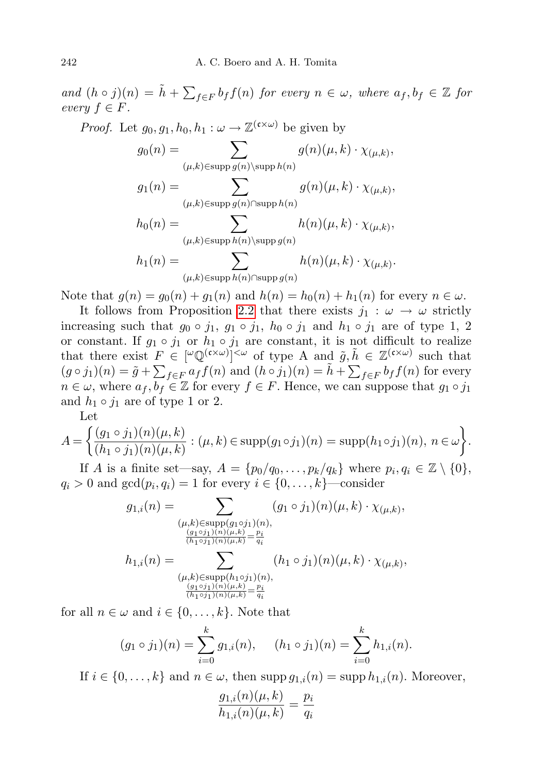and  $(h \circ j)(n) = \tilde{h} + \sum_{f \in F} b_f f(n)$  for every  $n \in \omega$ , where  $a_f, b_f \in \mathbb{Z}$  for every  $f \in F$ .

*Proof.* Let  $g_0, g_1, h_0, h_1 : \omega \to \mathbb{Z}^{(\mathfrak{c} \times \omega)}$  be given by

$$
g_0(n) = \sum_{(\mu,k)\in \text{supp } g(n)\backslash \text{supp } h(n)} g(n)(\mu, k) \cdot \chi_{(\mu,k)},
$$
  
\n
$$
g_1(n) = \sum_{(\mu,k)\in \text{supp } g(n)\cap \text{supp } h(n)} g(n)(\mu, k) \cdot \chi_{(\mu,k)},
$$
  
\n
$$
h_0(n) = \sum_{(\mu,k)\in \text{supp } h(n)\backslash \text{supp } g(n)} h(n)(\mu, k) \cdot \chi_{(\mu,k)},
$$
  
\n
$$
h_1(n) = \sum_{(\mu,k)\in \text{supp } h(n)\cap \text{supp } g(n)} h(n)(\mu, k) \cdot \chi_{(\mu,k)}.
$$

Note that  $g(n) = g_0(n) + g_1(n)$  and  $h(n) = h_0(n) + h_1(n)$  for every  $n \in \omega$ .

It follows from Proposition [2.2](#page-3-0) that there exists  $j_1 : \omega \to \omega$  strictly increasing such that  $g_0 \circ j_1$ ,  $g_1 \circ j_1$ ,  $h_0 \circ j_1$  and  $h_1 \circ j_1$  are of type 1, 2 or constant. If  $g_1 \circ j_1$  or  $h_1 \circ j_1$  are constant, it is not difficult to realize that there exist  $F \in [\omega \mathbb{Q}^{(\mathfrak{c} \times \omega)}]^{<\omega}$  of type A and  $\tilde{g}, \tilde{h} \in \mathbb{Z}^{(\mathfrak{c} \times \omega)}$  such that  $(g \circ j_1)(n) = \tilde{g} + \sum_{f \in F} a_f f(n)$  and  $(h \circ j_1)(n) = \tilde{h} + \sum_{f \in F} b_f f(n)$  for every  $n \in \omega$ , where  $a_f, b_f \in \mathbb{Z}$  for every  $f \in F$ . Hence, we can suppose that  $g_1 \circ j_1$ and  $h_1 \circ j_1$  are of type 1 or 2.

Let

$$
A = \left\{ \frac{(g_1 \circ j_1)(n)(\mu, k)}{(h_1 \circ j_1)(n)(\mu, k)} : (\mu, k) \in \text{supp}(g_1 \circ j_1)(n) = \text{supp}(h_1 \circ j_1)(n), n \in \omega \right\}.
$$

If A is a finite set—say,  $A = \{p_0/q_0, \ldots, p_k/q_k\}$  where  $p_i, q_i \in \mathbb{Z} \setminus \{0\},$  $q_i > 0$  and  $gcd(p_i, q_i) = 1$  for every  $i \in \{0, \ldots, k\}$ —consider

$$
g_{1,i}(n) = \sum_{\substack{(\mu,k) \in \text{supp}(g_1 \circ j_1)(n), \\ (g_1 \circ j_1)(n)(\mu,k) = \frac{p_i}{q_i} \\ (h_1 \circ j_1)(n)(\mu,k) = \frac{p_i}{q_i}}} (g_1 \circ j_1)(n)(\mu, k) \cdot \chi_{(\mu,k)},
$$

$$
h_{1,i}(n) = \sum_{\substack{(\mu,k) \in \text{supp}(h_1 \circ j_1)(n), \\ (g_1 \circ j_1)(n)(\mu,k) = \frac{p_i}{q_i} \\ (h_1 \circ j_1)(n)(\mu,k) = \frac{p_i}{q_i}}} (h_1 \circ j_1)(n)(\mu, k) \cdot \chi_{(\mu,k)},
$$

for all  $n \in \omega$  and  $i \in \{0, \ldots, k\}$ . Note that

$$
(g_1 \circ j_1)(n) = \sum_{i=0}^{k} g_{1,i}(n), \quad (h_1 \circ j_1)(n) = \sum_{i=0}^{k} h_{1,i}(n).
$$

If  $i \in \{0, \ldots, k\}$  and  $n \in \omega$ , then supp  $g_{1,i}(n) = \text{supp } h_{1,i}(n)$ . Moreover,

k

$$
\frac{g_{1,i}(n)(\mu,k)}{h_{1,i}(n)(\mu,k)} = \frac{p_i}{q_i}
$$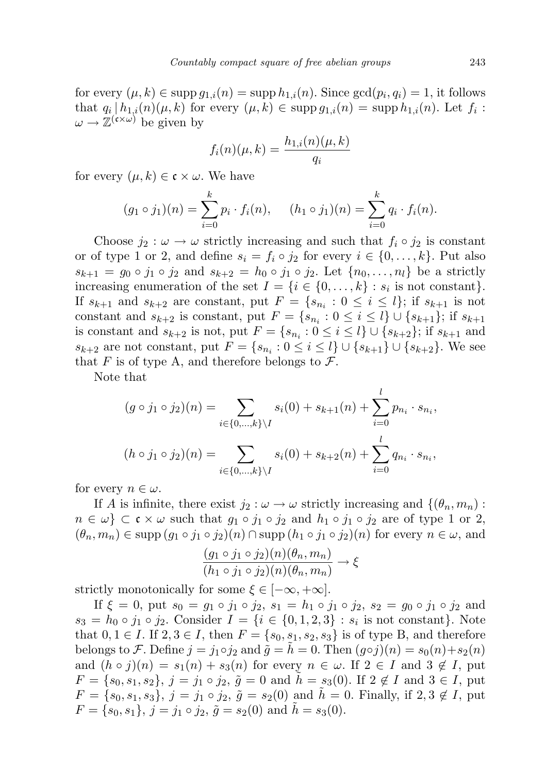for every  $(\mu, k) \in \text{supp } g_{1,i}(n) = \text{supp } h_{1,i}(n)$ . Since  $\text{gcd}(p_i, q_i) = 1$ , it follows that  $q_i | h_{1,i}(n)(\mu, k)$  for every  $(\mu, k) \in \text{supp } g_{1,i}(n) = \text{supp } h_{1,i}(n)$ . Let  $f_i$ :  $\omega \to \mathbb{Z}^{(\mathfrak{c} \times \omega)}$  be given by

$$
f_i(n)(\mu, k) = \frac{h_{1,i}(n)(\mu, k)}{q_i}
$$

for every  $(\mu, k) \in \mathfrak{c} \times \omega$ . We have

$$
(g_1 \circ j_1)(n) = \sum_{i=0}^{k} p_i \cdot f_i(n), \quad (h_1 \circ j_1)(n) = \sum_{i=0}^{k} q_i \cdot f_i(n).
$$

Choose  $j_2 : \omega \to \omega$  strictly increasing and such that  $f_i \circ j_2$  is constant or of type 1 or 2, and define  $s_i = f_i \circ j_2$  for every  $i \in \{0, ..., k\}$ . Put also  $s_{k+1} = g_0 \circ j_1 \circ j_2$  and  $s_{k+2} = h_0 \circ j_1 \circ j_2$ . Let  $\{n_0, \ldots, n_l\}$  be a strictly increasing enumeration of the set  $I = \{i \in \{0, ..., k\} : s_i \text{ is not constant}\}.$ If  $s_{k+1}$  and  $s_{k+2}$  are constant, put  $F = \{s_{n_i} : 0 \le i \le l\}$ ; if  $s_{k+1}$  is not constant and  $s_{k+2}$  is constant, put  $F = \{s_{n_i} : 0 \le i \le l\} \cup \{s_{k+1}\};$  if  $s_{k+1}$ is constant and  $s_{k+2}$  is not, put  $F = \{s_{n_i} : 0 \le i \le l\} \cup \{s_{k+2}\};$  if  $s_{k+1}$  and  $s_{k+2}$  are not constant, put  $F = \{s_{n_i} : 0 \le i \le l\} \cup \{s_{k+1}\} \cup \{s_{k+2}\}.$  We see that F is of type A, and therefore belongs to  $\mathcal{F}$ .

Note that

$$
(g \circ j_1 \circ j_2)(n) = \sum_{i \in \{0, \dots, k\} \setminus I} s_i(0) + s_{k+1}(n) + \sum_{i=0}^{l} p_{n_i} \cdot s_{n_i},
$$

$$
(h \circ j_1 \circ j_2)(n) = \sum_{i \in \{0, \dots, k\} \setminus I} s_i(0) + s_{k+2}(n) + \sum_{i=0}^{l} q_{n_i} \cdot s_{n_i},
$$

for every  $n \in \omega$ .

If A is infinite, there exist  $j_2 : \omega \to \omega$  strictly increasing and  $\{(\theta_n, m_n) :$  $n \in \omega$   $\subset \mathfrak{c} \times \omega$  such that  $g_1 \circ j_1 \circ j_2$  and  $h_1 \circ j_1 \circ j_2$  are of type 1 or 2,  $(\theta_n, m_n) \in \text{supp } (g_1 \circ j_1 \circ j_2)(n) \cap \text{supp } (h_1 \circ j_1 \circ j_2)(n)$  for every  $n \in \omega$ , and

$$
\frac{(g_1 \circ j_1 \circ j_2)(n)(\theta_n, m_n)}{(h_1 \circ j_1 \circ j_2)(n)(\theta_n, m_n)} \to \xi
$$

strictly monotonically for some  $\xi \in [-\infty, +\infty]$ .

If  $\xi = 0$ , put  $s_0 = g_1 \circ j_1 \circ j_2$ ,  $s_1 = h_1 \circ j_1 \circ j_2$ ,  $s_2 = g_0 \circ j_1 \circ j_2$  and  $s_3 = h_0 \circ j_1 \circ j_2$ . Consider  $I = \{i \in \{0, 1, 2, 3\} : s_i \text{ is not constant}\}.$  Note that 0, 1 ∈ *I*. If 2, 3 ∈ *I*, then  $F = \{s_0, s_1, s_2, s_3\}$  is of type B, and therefore belongs to F. Define  $j = j_1 \circ j_2$  and  $\tilde{q} = h = 0$ . Then  $(q \circ j)(n) = s_0(n) + s_2(n)$ and  $(h \circ j)(n) = s_1(n) + s_3(n)$  for every  $n \in \omega$ . If  $2 \in I$  and  $3 \notin I$ , put  $F = \{s_0, s_1, s_2\}, \ j = j_1 \circ j_2, \tilde{g} = 0 \text{ and } h = s_3(0). \text{ If } 2 \notin I \text{ and } 3 \in I, \text{ put }$  $F = \{s_0, s_1, s_3\}, j = j_1 \circ j_2, \tilde{g} = s_2(0) \text{ and } \tilde{h} = 0. \text{ Finally, if } 2, 3 \notin I, \text{ put }$  $F = \{s_0, s_1\}, j = j_1 \circ j_2, \tilde{g} = s_2(0) \text{ and } \tilde{h} = s_3(0).$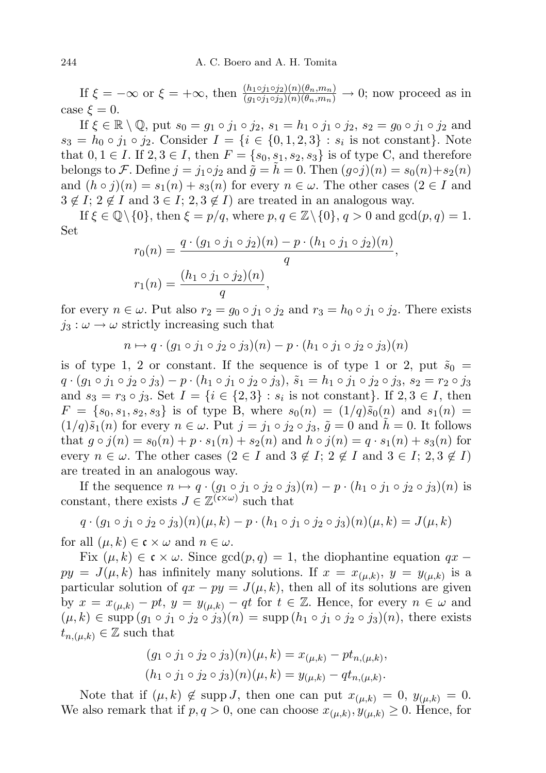If  $\xi = -\infty$  or  $\xi = +\infty$ , then  $\frac{(h_1 \circ j_1 \circ j_2)(n)(\theta_n, m_n)}{(g_1 \circ j_1 \circ j_2)(n)(\theta_n, m_n)} \to 0$ ; now proceed as in case  $\xi = 0$ .

If  $\xi \in \mathbb{R} \setminus \mathbb{Q}$ , put  $s_0 = g_1 \circ j_1 \circ j_2$ ,  $s_1 = h_1 \circ j_1 \circ j_2$ ,  $s_2 = g_0 \circ j_1 \circ j_2$  and  $s_3 = h_0 \circ j_1 \circ j_2$ . Consider  $I = \{i \in \{0, 1, 2, 3\} : s_i \text{ is not constant}\}.$  Note that  $0, 1 \in I$ . If  $2, 3 \in I$ , then  $F = \{s_0, s_1, s_2, s_3\}$  is of type C, and therefore belongs to F. Define  $j = j_1 \circ j_2$  and  $\tilde{g} = \tilde{h} = 0$ . Then  $(g \circ j)(n) = s_0(n) + s_2(n)$ and  $(h \circ j)(n) = s_1(n) + s_3(n)$  for every  $n \in \omega$ . The other cases  $(2 \in I)$  and  $3 \notin I$ ;  $2 \notin I$  and  $3 \in I$ ;  $2, 3 \notin I$ ) are treated in an analogous way.

If  $\xi \in \mathbb{Q} \setminus \{0\}$ , then  $\xi = p/q$ , where  $p, q \in \mathbb{Z} \setminus \{0\}$ ,  $q > 0$  and  $\gcd(p, q) = 1$ . Set

$$
r_0(n) = \frac{q \cdot (g_1 \circ j_1 \circ j_2)(n) - p \cdot (h_1 \circ j_1 \circ j_2)(n)}{q},
$$
  

$$
r_1(n) = \frac{(h_1 \circ j_1 \circ j_2)(n)}{q},
$$

for every  $n \in \omega$ . Put also  $r_2 = g_0 \circ j_1 \circ j_2$  and  $r_3 = h_0 \circ j_1 \circ j_2$ . There exists  $j_3 : \omega \to \omega$  strictly increasing such that

$$
n \mapsto q \cdot (g_1 \circ j_1 \circ j_2 \circ j_3)(n) - p \cdot (h_1 \circ j_1 \circ j_2 \circ j_3)(n)
$$

is of type 1, 2 or constant. If the sequence is of type 1 or 2, put  $\tilde{s}_0 =$  $q \cdot (g_1 \circ j_1 \circ j_2 \circ j_3) - p \cdot (h_1 \circ j_1 \circ j_2 \circ j_3), \tilde{s}_1 = h_1 \circ j_1 \circ j_2 \circ j_3, s_2 = r_2 \circ j_3$ and  $s_3 = r_3 \circ j_3$ . Set  $I = \{i \in \{2,3\} : s_i \text{ is not constant}\}\.$  If  $2, 3 \in I$ , then  $F = \{s_0, s_1, s_2, s_3\}$  is of type B, where  $s_0(n) = (1/q)\tilde{s}_0(n)$  and  $s_1(n) =$  $(1/q)\tilde{s}_1(n)$  for every  $n \in \omega$ . Put  $j = j_1 \circ j_2 \circ j_3$ ,  $\tilde{g} = 0$  and  $h = 0$ . It follows that  $g \circ j(n) = s_0(n) + p \cdot s_1(n) + s_2(n)$  and  $h \circ j(n) = q \cdot s_1(n) + s_3(n)$  for every  $n \in \omega$ . The other cases  $(2 \in I \text{ and } 3 \notin I; 2 \notin I \text{ and } 3 \in I; 2, 3 \notin I)$ are treated in an analogous way.

If the sequence  $n \mapsto q \cdot (g_1 \circ j_1 \circ j_2 \circ j_3)(n) - p \cdot (h_1 \circ j_1 \circ j_2 \circ j_3)(n)$  is constant, there exists  $J \in \mathbb{Z}^{(\mathfrak{c} \times \omega)}$  such that

$$
q \cdot (g_1 \circ j_1 \circ j_2 \circ j_3)(n)(\mu, k) - p \cdot (h_1 \circ j_1 \circ j_2 \circ j_3)(n)(\mu, k) = J(\mu, k)
$$

for all  $(\mu, k) \in \mathfrak{c} \times \omega$  and  $n \in \omega$ .

Fix  $(\mu, k) \in \mathfrak{c} \times \omega$ . Since  $gcd(p, q) = 1$ , the diophantine equation  $qx$  $py = J(\mu, k)$  has infinitely many solutions. If  $x = x_{(\mu, k)}, y = y_{(\mu, k)}$  is a particular solution of  $qx - py = J(\mu, k)$ , then all of its solutions are given by  $x = x_{(\mu,k)} - pt$ ,  $y = y_{(\mu,k)} - qt$  for  $t \in \mathbb{Z}$ . Hence, for every  $n \in \omega$  and  $(\mu, k) \in \text{supp}\,(g_1 \circ j_1 \circ j_2 \circ j_3)(n) = \text{supp}\,(h_1 \circ j_1 \circ j_2 \circ j_3)(n)$ , there exists  $t_{n,(u,k)} \in \mathbb{Z}$  such that

$$
(g_1 \circ j_1 \circ j_2 \circ j_3)(n)(\mu, k) = x_{(\mu, k)} - pt_{n, (\mu, k)},
$$
  

$$
(h_1 \circ j_1 \circ j_2 \circ j_3)(n)(\mu, k) = y_{(\mu, k)} - qt_{n, (\mu, k)}.
$$

Note that if  $(\mu, k) \notin \text{supp } J$ , then one can put  $x_{(\mu,k)} = 0$ ,  $y_{(\mu,k)} = 0$ . We also remark that if  $p, q > 0$ , one can choose  $x_{(\mu,k)}, y_{(\mu,k)} \geq 0$ . Hence, for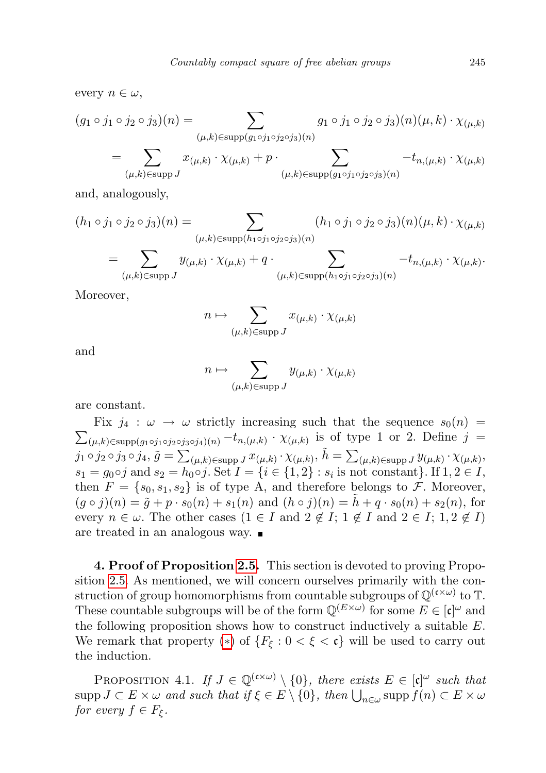every  $n \in \omega$ ,

$$
(g_1 \circ j_1 \circ j_2 \circ j_3)(n) = \sum_{(\mu,k) \in \text{supp}(g_1 \circ j_1 \circ j_2 \circ j_3)(n)} g_1 \circ j_1 \circ j_2 \circ j_3)(n)(\mu, k) \cdot \chi_{(\mu,k)}
$$
  
= 
$$
\sum_{(\mu,k) \in \text{supp } J} x_{(\mu,k)} \cdot \chi_{(\mu,k)} + p \cdot \sum_{(\mu,k) \in \text{supp}(g_1 \circ j_1 \circ j_2 \circ j_3)(n)} -t_{n,(\mu,k)} \cdot \chi_{(\mu,k)}
$$

and, analogously,

$$
(h_1 \circ j_1 \circ j_2 \circ j_3)(n) = \sum_{(\mu,k) \in \text{supp}(h_1 \circ j_1 \circ j_2 \circ j_3)(n)} (h_1 \circ j_1 \circ j_2 \circ j_3)(n)(\mu, k) \cdot \chi_{(\mu,k)}
$$
  
= 
$$
\sum_{(\mu,k) \in \text{supp } J} y_{(\mu,k)} \cdot \chi_{(\mu,k)} + q \cdot \sum_{(\mu,k) \in \text{supp}(h_1 \circ j_1 \circ j_2 \circ j_3)(n)} -t_{n,(\mu,k)} \cdot \chi_{(\mu,k)}.
$$

Moreover,

$$
n \mapsto \sum_{(\mu,k) \in \text{supp } J} x_{(\mu,k)} \cdot \chi_{(\mu,k)}
$$

and

$$
n \mapsto \sum_{(\mu,k)\in \text{supp }J} y_{(\mu,k)} \cdot \chi_{(\mu,k)}
$$

are constant.

 $\sum_{(\mu,k)\in \text{supp}(g_1\circ j_1\circ j_2\circ j_3\circ j_4)(n)} -t_{n,(\mu,k)} \cdot \chi_{(\mu,k)}$  is of type 1 or 2. Define  $j=$ Fix  $j_4 : \omega \to \omega$  strictly increasing such that the sequence  $s_0(n) =$  $j_1\circ j_2\circ j_3\circ j_4,\, \tilde g=\sum_{(\mu,k)\in\operatorname{supp} J}x_{(\mu,k)}\cdot\chi_{(\mu,k)},\, \tilde h=\sum_{(\mu,k)\in\operatorname{supp} J}y_{(\mu,k)}\cdot\chi_{(\mu,k)},$  $s_1 = g_0 \circ j$  and  $s_2 = h_0 \circ j$ . Set  $I = \{i \in \{1, 2\} : s_i \text{ is not constant}\}\.$  If  $1, 2 \in I$ , then  $F = \{s_0, s_1, s_2\}$  is of type A, and therefore belongs to F. Moreover,  $(g \circ j)(n) = \tilde{g} + p \cdot s_0(n) + s_1(n)$  and  $(h \circ j)(n) = \tilde{h} + q \cdot s_0(n) + s_2(n)$ , for every  $n \in \omega$ . The other cases  $(1 \in I \text{ and } 2 \notin I; 1 \notin I \text{ and } 2 \in I; 1, 2 \notin I)$ are treated in an analogous way.

4. Proof of Proposition [2.5.](#page-5-2) This section is devoted to proving Proposition [2.5.](#page-5-2) As mentioned, we will concern ourselves primarily with the construction of group homomorphisms from countable subgroups of  $\mathbb{Q}^{(\mathfrak{c} \times \omega)}$  to  $\mathbb{T}.$ These countable subgroups will be of the form  $\mathbb{Q}^{(E \times \omega)}$  for some  $E \in |\mathfrak{c}|^{\omega}$  and the following proposition shows how to construct inductively a suitable E. We remark that property (\*) of  $\{F_{\xi}: 0 < \xi < \mathfrak{c}\}\)$  will be used to carry out the induction.

<span id="page-10-0"></span>PROPOSITION 4.1. If  $J \in \mathbb{Q}^{(\mathfrak{c} \times \omega)} \setminus \{0\}$ , there exists  $E \in [\mathfrak{c}]^{\omega}$  such that  $\mathrm{supp} \, J \subset E \times \omega$  and such that if  $\xi \in E \setminus \{0\}$ , then  $\bigcup_{n \in \omega} \mathrm{supp} \, f(n) \subset E \times \omega$ for every  $f \in F_{\xi}$ .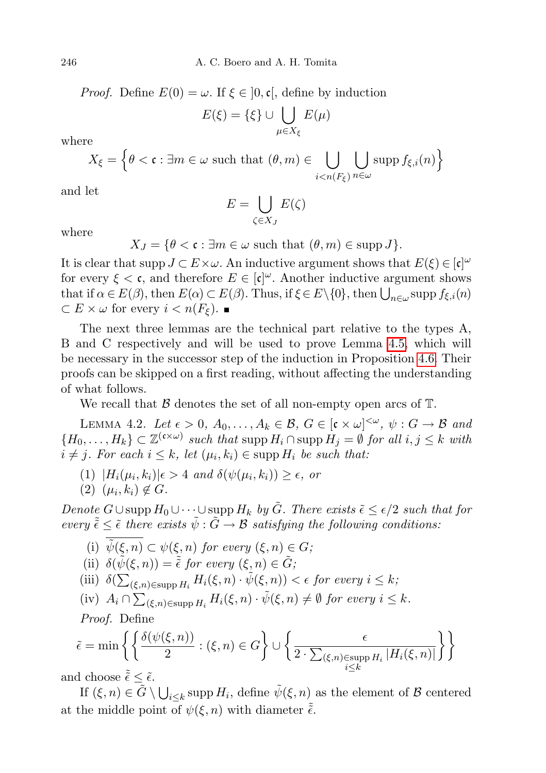*Proof.* Define  $E(0) = \omega$ . If  $\xi \in [0, \mathfrak{c}]$ , define by induction

$$
E(\xi) = \{\xi\} \cup \bigcup_{\mu \in X_{\xi}} E(\mu)
$$

where

$$
X_{\xi} = \left\{ \theta < \mathfrak{c} : \exists m \in \omega \text{ such that } (\theta, m) \in \bigcup_{i < n(F_{\xi})} \bigcup_{n \in \omega} \operatorname{supp} f_{\xi, i}(n) \right\}
$$

and let

$$
E = \bigcup_{\zeta \in X_J} E(\zeta)
$$

where

$$
X_J = \{ \theta < \mathfrak{c} : \exists m \in \omega \text{ such that } (\theta, m) \in \text{supp } J \}.
$$

It is clear that supp  $J \subset E \times \omega$ . An inductive argument shows that  $E(\xi) \in [\mathfrak{c}]^{\omega}$ for every  $\xi < \mathfrak{c}$ , and therefore  $E \in [\mathfrak{c}]^{\omega}$ . Another inductive argument shows that if  $\alpha \in E(\beta)$ , then  $E(\alpha) \subset E(\beta)$ . Thus, if  $\xi \in E \setminus \{0\}$ , then  $\bigcup_{n \in \omega} \text{supp } f_{\xi,i}(n)$  $\subset E \times \omega$  for every  $i < n(F_{\xi})$ . ■

The next three lemmas are the technical part relative to the types A, B and C respectively and will be used to prove Lemma [4.5,](#page-15-0) which will be necessary in the successor step of the induction in Proposition [4.6.](#page-18-0) Their proofs can be skipped on a first reading, without affecting the understanding of what follows.

We recall that  $\beta$  denotes the set of all non-empty open arcs of  $\mathbb{T}$ .

<span id="page-11-0"></span>LEMMA 4.2. Let  $\epsilon > 0$ ,  $A_0, \ldots, A_k \in \mathcal{B}, G \in [\mathfrak{c} \times \omega]^{<\omega}$ ,  $\psi : G \to \mathcal{B}$  and  $\{H_0,\ldots,H_k\} \subset \mathbb{Z}^{(\mathfrak{c} \times \omega)}$  such that supp  $H_i \cap \text{supp } H_j = \emptyset$  for all  $i, j \leq k$  with  $i \neq j$ . For each  $i \leq k$ , let  $(\mu_i, k_i) \in \text{supp } H_i$  be such that:

- (1)  $|H_i(\mu_i, k_i)| \epsilon > 4$  and  $\delta(\psi(\mu_i, k_i)) \geq \epsilon$ , or
- $(2)$   $(\mu_i, k_i) \notin G$ .

Denote G∪supp  $H_0 \cup \cdots \cup$ supp  $H_k$  by  $\tilde{G}$ . There exists  $\tilde{\epsilon} \leq \epsilon/2$  such that for every  $\tilde{\tilde{\epsilon}} \leq \tilde{\epsilon}$  there exists  $\tilde{\psi} : \tilde{G} \to \mathcal{B}$  satisfying the following conditions:

\n- (i) 
$$
\overline{\tilde{\psi}(\xi,n)} \subset \psi(\xi,n)
$$
 for every  $(\xi,n) \in G$ ;
\n- (ii)  $\delta(\tilde{\psi}(\xi,n)) = \tilde{\epsilon}$  for every  $(\xi,n) \in \tilde{G}$ ;
\n- (iii)  $\delta(\sum_{(\xi,n)\in \text{supp } H_i} H_i(\xi,n) \cdot \tilde{\psi}(\xi,n)) < \epsilon$  for every  $i \leq k$ ;
\n- (iv)  $A_i \cap \sum_{(\xi,n)\in \text{supp } H_i} H_i(\xi,n) \cdot \tilde{\psi}(\xi,n) \neq \emptyset$  for every  $i \leq k$ .
\n- Proof. Define
\n

$$
\tilde{\epsilon} = \min \left\{ \left\{ \frac{\delta(\psi(\xi, n))}{2} : (\xi, n) \in G \right\} \cup \left\{ \frac{\epsilon}{2 \cdot \sum_{(\xi, n) \in \text{supp } H_i} |H_i(\xi, n)|} \right\} \right\}
$$

and choose  $\tilde{\epsilon} \leq \tilde{\epsilon}$ .

If  $(\xi, n) \in \tilde{G} \setminus \bigcup_{i \leq k} \text{supp } H_i$ , define  $\tilde{\psi}(\xi, n)$  as the element of  $\mathcal{B}$  centered at the middle point of  $\psi(\xi, n)$  with diameter  $\tilde{\tilde{\epsilon}}$ .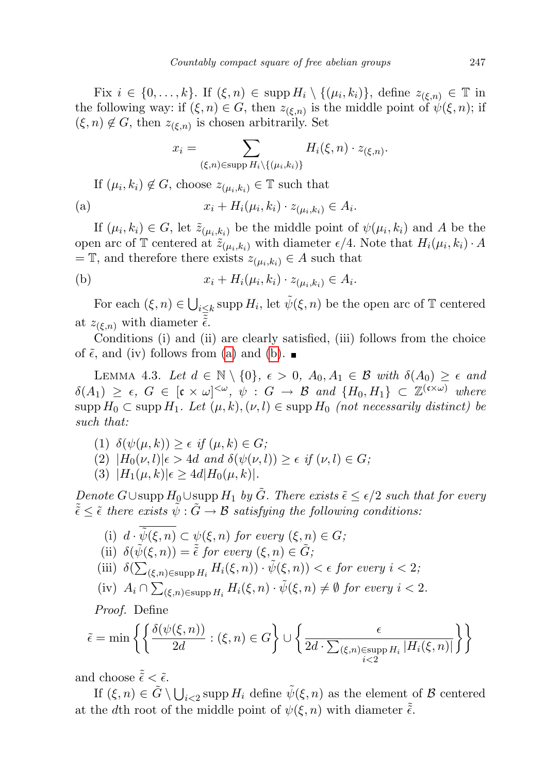Fix  $i \in \{0, \ldots, k\}$ . If  $(\xi, n) \in \text{supp } H_i \setminus \{(\mu_i, k_i)\},\$ define  $z_{(\xi,n)} \in \mathbb{T}$  in the following way: if  $(\xi, n) \in G$ , then  $z_{(\xi,n)}$  is the middle point of  $\psi(\xi, n)$ ; if  $(\xi, n) \notin G$ , then  $z_{(\xi,n)}$  is chosen arbitrarily. Set

$$
x_i = \sum_{(\xi,n)\in \text{supp } H_i \backslash \{(\mu_i,k_i)\}} H_i(\xi,n) \cdot z_{(\xi,n)}.
$$

If 
$$
(\mu_i, k_i) \notin G
$$
, choose  $z_{(\mu_i, k_i)} \in \mathbb{T}$  such that

<span id="page-12-0"></span>(a) 
$$
x_i + H_i(\mu_i, k_i) \cdot z_{(\mu_i, k_i)} \in A_i.
$$

If  $(\mu_i, k_i) \in G$ , let  $\tilde{z}_{(\mu_i, k_i)}$  be the middle point of  $\psi(\mu_i, k_i)$  and A be the open arc of  $\mathbb T$  centered at  $\widetilde{z}_{(\mu_i,k_i)}$  with diameter  $\epsilon/4$ . Note that  $H_i(\mu_i,k_i) \cdot A$  $=\mathbb{T}$ , and therefore there exists  $z_{(\mu_i,k_i)} \in A$  such that

<span id="page-12-1"></span>(b) 
$$
x_i + H_i(\mu_i, k_i) \cdot z_{(\mu_i, k_i)} \in A_i.
$$

For each  $(\xi, n) \in \bigcup_{i \leq k} \text{supp } H_i$ , let  $\tilde{\psi}(\xi, n)$  be the open arc of  $\mathbb{T}$  centered at  $z_{(\xi,n)}$  with diameter  $\tilde{\epsilon}$ .

Conditions (i) and (ii) are clearly satisfied, (iii) follows from the choice of  $\tilde{\epsilon}$ , and (iv) follows from [\(a\)](#page-12-0) and [\(b\)](#page-12-1).

<span id="page-12-2"></span>LEMMA 4.3. Let  $d \in \mathbb{N} \setminus \{0\}$ ,  $\epsilon > 0$ ,  $A_0, A_1 \in \mathcal{B}$  with  $\delta(A_0) \geq \epsilon$  and  $\delta(A_1) \geq \epsilon, G \in [\mathfrak{c} \times \omega]^{<\omega}, \ \psi : G \to \mathcal{B} \ \text{and} \ \{H_0, H_1\} \subset \mathbb{Z}^{(\mathfrak{c} \times \omega)} \ \text{where}$  $\text{supp } H_0 \subset \text{supp } H_1$ . Let  $(\mu, k), (\nu, l) \in \text{supp } H_0$  (not necessarily distinct) be such that:

- (1)  $\delta(\psi(\mu, k)) \geq \epsilon$  if  $(\mu, k) \in G$ ;
- (2)  $|H_0(\nu, l)| \epsilon > 4d$  and  $\delta(\psi(\nu, l)) \geq \epsilon$  if  $(\nu, l) \in G$ ;
- (3)  $|H_1(\mu, k)| \epsilon \geq 4d |H_0(\mu, k)|$ .

Denote G∪supp  $H_0 \cup$ supp  $H_1$  by  $\tilde{G}$ . There exists  $\tilde{\epsilon} \leq \epsilon/2$  such that for every  $\tilde{\tilde{\epsilon}} \leq \tilde{\epsilon}$  there exists  $\tilde{\psi} : \tilde{G} \to \mathcal{B}$  satisfying the following conditions:

\n- (i) 
$$
d \cdot \tilde{\psi}(\xi, n) \subset \psi(\xi, n)
$$
 for every  $(\xi, n) \in G$ ;
\n- (ii)  $\delta(\tilde{\psi}(\xi, n)) = \tilde{\epsilon}$  for every  $(\xi, n) \in \tilde{G}$ ;
\n- (iii)  $\delta(\sum_{(\xi,n)\in \text{supp } H_i} H_i(\xi, n)) \cdot \tilde{\psi}(\xi, n) < \epsilon$  for every  $i < 2$ ;
\n- (iv)  $A_i \cap \sum_{(\xi,n)\in \text{supp } H_i} H_i(\xi, n) \cdot \tilde{\psi}(\xi, n) \neq \emptyset$  for every  $i < 2$ .
\n

Proof. Define

$$
\tilde{\epsilon} = \min \left\{ \left\{ \frac{\delta(\psi(\xi, n))}{2d} : (\xi, n) \in G \right\} \cup \left\{ \frac{\epsilon}{2d \cdot \sum_{(\xi, n) \in \text{supp } H_i} |H_i(\xi, n)|} \right\} \right\}
$$

and choose  $\tilde{\tilde{\epsilon}} < \tilde{\epsilon}$ .

If  $(\xi, n) \in \tilde{G} \setminus \bigcup_{i \leq 2} \text{supp } H_i$  define  $\tilde{\psi}(\xi, n)$  as the element of  $\mathcal{B}$  centered at the dth root of the middle point of  $\psi(\xi, n)$  with diameter  $\tilde{\tilde{\epsilon}}$ .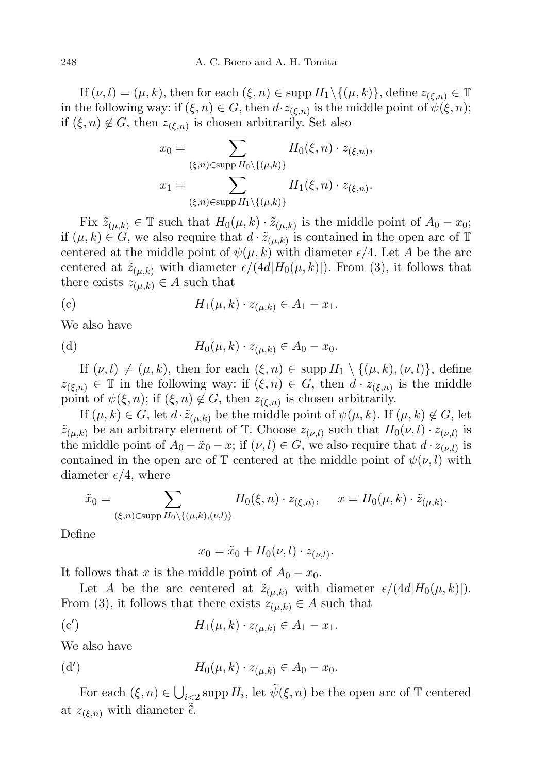If  $(\nu, l) = (\mu, k)$ , then for each  $(\xi, n) \in \text{supp } H_1 \setminus \{(\mu, k)\},$  define  $z_{(\xi, n)} \in \mathbb{T}$ in the following way: if  $(\xi, n) \in G$ , then  $d \cdot z_{(\xi,n)}$  is the middle point of  $\psi(\xi, n)$ ; if  $(\xi, n) \notin G$ , then  $z_{(\xi,n)}$  is chosen arbitrarily. Set also

$$
x_0 = \sum_{(\xi,n)\in \text{supp } H_0\setminus\{(\mu,k)\}} H_0(\xi,n) \cdot z_{(\xi,n)},
$$
  

$$
x_1 = \sum_{(\xi,n)\in \text{supp } H_1\setminus\{(\mu,k)\}} H_1(\xi,n) \cdot z_{(\xi,n)}.
$$

Fix  $\tilde{z}_{(\mu,k)} \in \mathbb{T}$  such that  $H_0(\mu,k) \cdot \tilde{z}_{(\mu,k)}$  is the middle point of  $A_0 - x_0$ ; if  $(\mu, k) \in G$ , we also require that  $d \cdot \tilde{z}_{(\mu,k)}$  is contained in the open arc of  $\mathbb T$ centered at the middle point of  $\psi(\mu, k)$  with diameter  $\epsilon/4$ . Let A be the arc centered at  $\tilde{z}_{(\mu,k)}$  with diameter  $\epsilon/(4d|H_0(\mu,k)|)$ . From (3), it follows that there exists  $z_{(\mu,k)} \in A$  such that

<span id="page-13-0"></span>(c) 
$$
H_1(\mu, k) \cdot z_{(\mu, k)} \in A_1 - x_1.
$$

We also have

<span id="page-13-1"></span>(d) 
$$
H_0(\mu, k) \cdot z_{(\mu, k)} \in A_0 - x_0.
$$

If  $(\nu, l) \neq (\mu, k)$ , then for each  $(\xi, n) \in \text{supp } H_1 \setminus \{(\mu, k), (\nu, l)\},$  define  $z_{(\xi,n)} \in \mathbb{T}$  in the following way: if  $(\xi,n) \in G$ , then  $d \cdot z_{(\xi,n)}$  is the middle point of  $\psi(\xi, n)$ ; if  $(\xi, n) \notin G$ , then  $z_{(\xi,n)}$  is chosen arbitrarily.

If  $(\mu, k) \in G$ , let  $d \cdot \tilde{z}_{(\mu,k)}$  be the middle point of  $\psi(\mu, k)$ . If  $(\mu, k) \notin G$ , let  $\tilde{z}_{(\mu,k)}$  be an arbitrary element of T. Choose  $z_{(\nu,l)}$  such that  $H_0(\nu,l) \cdot z_{(\nu,l)}$  is the middle point of  $A_0 - \tilde{x}_0 - x$ ; if  $(\nu, l) \in G$ , we also require that  $d \cdot z_{(\nu, l)}$  is contained in the open arc of  $\mathbb T$  centered at the middle point of  $\psi(\nu, l)$  with diameter  $\epsilon/4$ , where

$$
\tilde{x}_0 = \sum_{(\xi,n) \in \text{supp } H_0 \setminus \{(\mu,k),(\nu,l)\}} H_0(\xi,n) \cdot z_{(\xi,n)}, \quad x = H_0(\mu,k) \cdot \tilde{z}_{(\mu,k)}.
$$

Define

 $x_0 = \tilde{x}_0 + H_0(\nu, l) \cdot z_{(\nu, l)}.$ 

It follows that x is the middle point of  $A_0 - x_0$ .

Let A be the arc centered at  $\tilde{z}_{(\mu,k)}$  with diameter  $\epsilon/(4d|H_0(\mu,k)|)$ . From (3), it follows that there exists  $z_{(\mu,k)} \in A$  such that

<span id="page-13-2"></span>(c') 
$$
H_1(\mu, k) \cdot z_{(\mu, k)} \in A_1 - x_1.
$$

We also have

<span id="page-13-3"></span>(d') 
$$
H_0(\mu, k) \cdot z_{(\mu, k)} \in A_0 - x_0.
$$

For each  $(\xi, n) \in \bigcup_{i \leq 2} \text{supp } H_i$ , let  $\tilde{\psi}(\xi, n)$  be the open arc of  $\mathbb{T}$  centered at  $z_{(\xi,n)}$  with diameter  $\tilde{\tilde{\epsilon}}$ .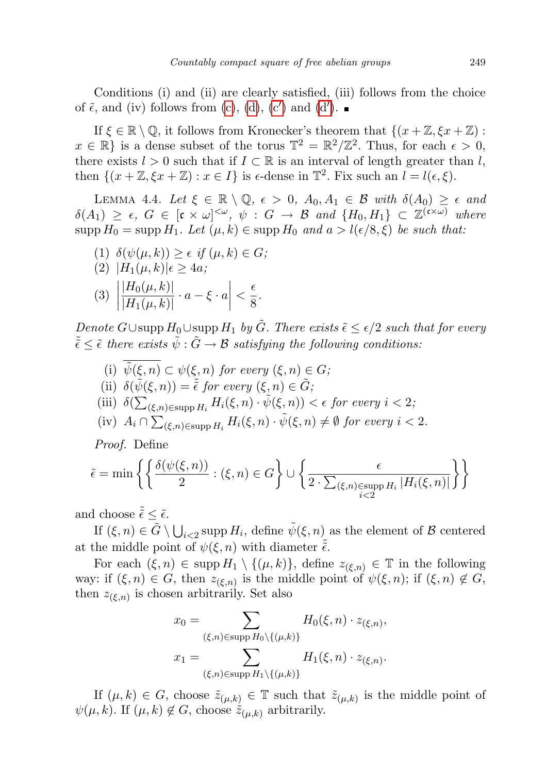Conditions (i) and (ii) are clearly satisfied, (iii) follows from the choice of  $\tilde{\epsilon}$ , and (iv) follows from [\(c\)](#page-13-0), [\(d\)](#page-13-1), [\(c](#page-13-2)') and [\(d](#page-13-3)').

If  $\xi \in \mathbb{R} \setminus \mathbb{Q}$ , it follows from Kronecker's theorem that  $\{(x + \mathbb{Z}, \xi x + \mathbb{Z}) :$  $x \in \mathbb{R}$  is a dense subset of the torus  $\mathbb{T}^2 = \mathbb{R}^2/\mathbb{Z}^2$ . Thus, for each  $\epsilon > 0$ , there exists  $l > 0$  such that if  $I \subset \mathbb{R}$  is an interval of length greater than l, then  $\{(x+\mathbb{Z}, \xi x + \mathbb{Z}) : x \in I\}$  is  $\epsilon$ -dense in  $\mathbb{T}^2$ . Fix such an  $l = l(\epsilon, \xi)$ .

<span id="page-14-1"></span>LEMMA 4.4. Let  $\xi \in \mathbb{R} \setminus \mathbb{Q}$ ,  $\epsilon > 0$ ,  $A_0, A_1 \in \mathcal{B}$  with  $\delta(A_0) \geq \epsilon$  and  $\delta(A_1) \geq \epsilon, G \in [\mathfrak{c} \times \omega]^{<\omega}, \psi : G \to \mathcal{B} \text{ and } \{H_0, H_1\} \subset \mathbb{Z}^{(\mathfrak{c} \times \omega)}$  where supp  $H_0 = \text{supp } H_1$ . Let  $(\mu, k) \in \text{supp } H_0$  and  $a > l(\epsilon/8, \xi)$  be such that:

(1)  $\delta(\psi(\mu, k)) \geq \epsilon$  if  $(\mu, k) \in G$ ; (2)  $|H_1(\mu, k)| \epsilon > 4a$ ; (3)      $|H_0(\mu, k)|$  $\frac{|H_0(\mu, k)|}{|H_1(\mu, k)|} \cdot a - \xi \cdot a$  $\frac{e}{2}$  $\frac{8}{8}$ .

Denote G∪supp  $H_0 \cup$ supp  $H_1$  by  $\tilde{G}$ . There exists  $\tilde{\epsilon} \leq \epsilon/2$  such that for every  $\tilde{\tilde{\epsilon}} \leq \tilde{\epsilon}$  there exists  $\tilde{\psi} : \tilde{G} \to \mathcal{B}$  satisfying the following conditions:

(i)  $\tilde{\psi}(\xi, n) \subset \psi(\xi, n)$  for every  $(\xi, n) \in G$ ; (ii)  $\delta(\tilde{\psi}(\xi, n)) = \tilde{\tilde{\epsilon}}$  for every  $(\xi, n) \in \tilde{G}$ ; (iii)  $\delta(\sum_{(\xi,n)\in \text{supp } H_i} H_i(\xi,n) \cdot \tilde{\psi}(\xi,n)) < \epsilon \text{ for every } i < 2;$ (iv)  $A_i \cap \sum_{(\xi,n) \in \text{supp } H_i} H_i(\xi,n) \cdot \tilde{\psi}(\xi,n) \neq \emptyset$  for every  $i < 2$ .

<span id="page-14-0"></span>Proof. Define

$$
\tilde{\epsilon} = \min \left\{ \left\{ \frac{\delta(\psi(\xi, n))}{2} : (\xi, n) \in G \right\} \cup \left\{ \frac{\epsilon}{2 \cdot \sum_{(\xi, n) \in \text{supp } H_i} |H_i(\xi, n)|} \right\} \right\}
$$

and choose  $\tilde{\tilde{\epsilon}} < \tilde{\epsilon}$ .

If  $(\xi, n) \in \tilde{G} \setminus \bigcup_{i \leq 2} \text{supp } H_i$ , define  $\tilde{\psi}(\xi, n)$  as the element of  $\mathcal{B}$  centered at the middle point of  $\psi(\xi, n)$  with diameter  $\tilde{\tilde{\epsilon}}$ .

For each  $(\xi, n) \in \text{supp } H_1 \setminus \{(\mu, k)\},\$  define  $z_{(\xi,n)} \in \mathbb{T}$  in the following way: if  $(\xi, n) \in G$ , then  $z_{(\xi,n)}$  is the middle point of  $\psi(\xi, n)$ ; if  $(\xi, n) \notin G$ , then  $z_{(\xi,n)}$  is chosen arbitrarily. Set also

$$
x_0 = \sum_{(\xi,n)\in \text{supp } H_0\setminus\{(\mu,k)\}} H_0(\xi,n) \cdot z_{(\xi,n)},
$$
  

$$
x_1 = \sum_{(\xi,n)\in \text{supp } H_1\setminus\{(\mu,k)\}} H_1(\xi,n) \cdot z_{(\xi,n)}.
$$

If  $(\mu, k) \in G$ , choose  $\tilde{z}_{(\mu, k)} \in \mathbb{T}$  such that  $\tilde{z}_{(\mu, k)}$  is the middle point of  $\psi(\mu, k)$ . If  $(\mu, k) \notin G$ , choose  $\tilde{z}_{(\mu, k)}$  arbitrarily.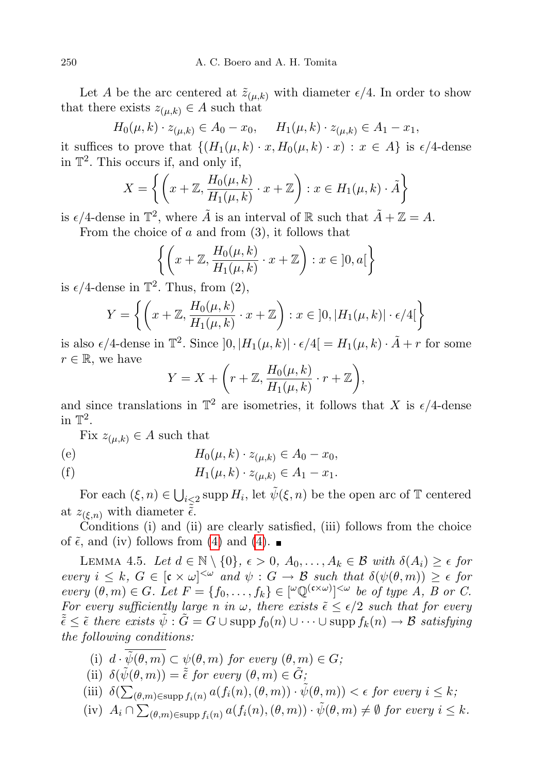Let A be the arc centered at  $\tilde{z}_{(\mu,k)}$  with diameter  $\epsilon/4$ . In order to show that there exists  $z_{(\mu,k)} \in A$  such that

$$
H_0(\mu, k) \cdot z_{(\mu, k)} \in A_0 - x_0, \quad H_1(\mu, k) \cdot z_{(\mu, k)} \in A_1 - x_1,
$$

it suffices to prove that  $\{(H_1(\mu, k) \cdot x, H_0(\mu, k) \cdot x) : x \in A\}$  is  $\epsilon/4$ -dense in T 2 . This occurs if, and only if,

$$
X = \left\{ \left( x + \mathbb{Z}, \frac{H_0(\mu, k)}{H_1(\mu, k)} \cdot x + \mathbb{Z} \right) : x \in H_1(\mu, k) \cdot \tilde{A} \right\}
$$

is  $\epsilon/4$ -dense in  $\mathbb{T}^2$ , where  $\tilde{A}$  is an interval of R such that  $\tilde{A} + \mathbb{Z} = A$ .

From the choice of  $a$  and from  $(3)$ , it follows that

$$
\left\{ \left( x + \mathbb{Z}, \frac{H_0(\mu, k)}{H_1(\mu, k)} \cdot x + \mathbb{Z} \right) : x \in ]0, a[ \right\}
$$

is  $\epsilon/4$ -dense in  $\mathbb{T}^2$ . Thus, from (2),

$$
Y = \left\{ \left( x + \mathbb{Z}, \frac{H_0(\mu, k)}{H_1(\mu, k)} \cdot x + \mathbb{Z} \right) : x \in ]0, |H_1(\mu, k)| \cdot \epsilon/4[ \right\}
$$

is also  $\epsilon/4$ -dense in  $\mathbb{T}^2$ . Since  $]0, |H_1(\mu, k)| \cdot \epsilon/4[$  =  $H_1(\mu, k) \cdot \tilde{A} + r$  for some  $r \in \mathbb{R}$ , we have

$$
Y = X + \left(r + \mathbb{Z}, \frac{H_0(\mu, k)}{H_1(\mu, k)} \cdot r + \mathbb{Z}\right),
$$

and since translations in  $\mathbb{T}^2$  are isometries, it follows that X is  $\epsilon/4$ -dense in  $\mathbb{T}^2$ .

Fix  $z_{(\mu,k)} \in A$  such that

(e) 
$$
H_0(\mu, k) \cdot z_{(\mu, k)} \in A_0 - x_0
$$
,

(f) 
$$
H_1(\mu, k) \cdot z_{(\mu, k)} \in A_1 - x_1.
$$

For each  $(\xi, n) \in \bigcup_{i \leq 2} \text{supp } H_i$ , let  $\tilde{\psi}(\xi, n)$  be the open arc of  $\mathbb{T}$  centered at  $z_{(\xi,n)}$  with diameter  $\tilde{\epsilon}$ .

Conditions (i) and (ii) are clearly satisfied, (iii) follows from the choice of  $\tilde{\epsilon}$ , and (iv) follows from [\(4\)](#page-14-0) and (4).

<span id="page-15-0"></span>LEMMA 4.5. Let  $d \in \mathbb{N} \setminus \{0\}$ ,  $\epsilon > 0$ ,  $A_0, \ldots, A_k \in \mathcal{B}$  with  $\delta(A_i) \geq \epsilon$  for every  $i \leq k$ ,  $G \in [\mathfrak{c} \times \omega]^{<\omega}$  and  $\psi : G \to \mathcal{B}$  such that  $\delta(\psi(\theta,m)) \geq \epsilon$  for every  $(\theta, m) \in G$ . Let  $F = \{f_0, \ldots, f_k\} \in [\omega \mathbb{Q}^{(\mathfrak{c} \times \omega)}]^{< \omega}$  be of type A, B or C. For every sufficiently large n in  $\omega$ , there exists  $\tilde{\epsilon} \leq \epsilon/2$  such that for every  $\tilde{\epsilon} \leq \tilde{\epsilon}$  there exists  $\tilde{\psi}$  :  $\tilde{G} = G \cup \text{supp } f_0(n) \cup \cdots \cup \text{supp } f_k(n) \to \mathcal{B}$  satisfying the following conditions:

(i) 
$$
d \cdot \tilde{\psi}(\theta, m) \subset \psi(\theta, m)
$$
 for every  $(\theta, m) \in G$ ;

(ii) 
$$
\delta(\tilde{\psi}(\theta, m)) = \tilde{\epsilon}
$$
 for every  $(\theta, m) \in \tilde{G}$ ;

- (iii)  $\delta(\sum_{(\theta,m)\in \text{supp }f_i(n)} a(f_i(n),(\theta,m)) \cdot \tilde{\psi}(\theta,m)) < \epsilon \text{ for every } i \leq k$ ;
- (iv)  $A_i \cap \sum_{(\theta,m)\in \text{supp } f_i(n)} a(f_i(n), (\theta, m)) \cdot \tilde{\psi}(\theta, m) \neq \emptyset$  for every  $i \leq k$ .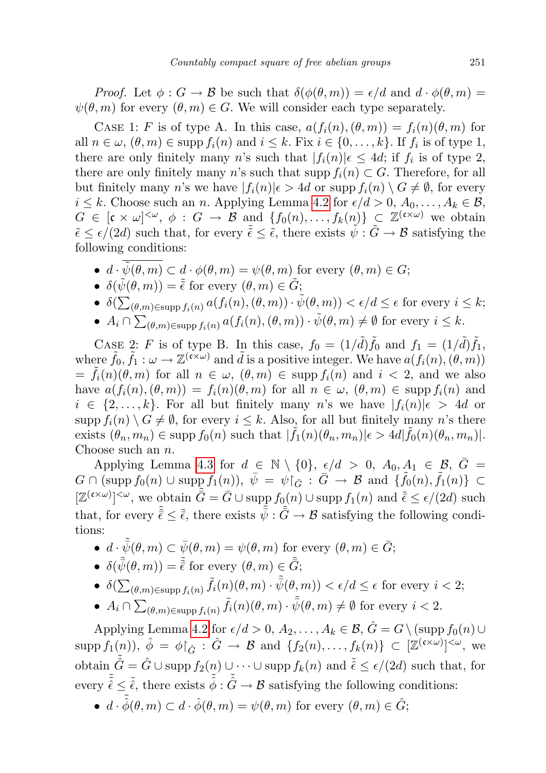Proof. Let  $\phi : G \to \mathcal{B}$  be such that  $\delta(\phi(\theta,m)) = \epsilon/d$  and  $d \cdot \phi(\theta,m) =$  $\psi(\theta, m)$  for every  $(\theta, m) \in G$ . We will consider each type separately.

CASE 1: F is of type A. In this case,  $a(f_i(n),(\theta,m)) = f_i(n)(\theta,m)$  for all  $n \in \omega$ ,  $(\theta, m) \in \text{supp } f_i(n)$  and  $i \leq k$ . Fix  $i \in \{0, \ldots, k\}$ . If  $f_i$  is of type 1, there are only finitely many n's such that  $|f_i(n)| \in \leq 4d$ ; if  $f_i$  is of type 2, there are only finitely many n's such that supp  $f_i(n) \subset G$ . Therefore, for all but finitely many n's we have  $|f_i(n)| \in \mathcal{A}$  or supp  $f_i(n) \setminus G \neq \emptyset$ , for every  $i \leq k$ . Choose such an n. Applying Lemma [4.2](#page-11-0) for  $\epsilon/d > 0$ ,  $A_0, \ldots, A_k \in \mathcal{B}$ ,  $G \in [\mathfrak{c} \times \omega]^{<\omega}, \phi : G \to \mathcal{B} \text{ and } \{f_0(n), \ldots, f_k(n)\} \subset \mathbb{Z}^{(\mathfrak{c} \times \omega)}$  we obtain  $\tilde{\epsilon} \leq \epsilon/(2d)$  such that, for every  $\tilde{\tilde{\epsilon}} \leq \tilde{\epsilon}$ , there exists  $\tilde{\psi}: \tilde{G} \to \mathcal{B}$  satisfying the following conditions:

- $d \cdot \tilde{\psi}(\theta, m) \subset d \cdot \phi(\theta, m) = \psi(\theta, m)$  for every  $(\theta, m) \in G$ ;
- $\delta(\tilde{\psi}(\theta, m)) = \tilde{\epsilon}$  for every  $(\theta, m) \in \tilde{G}$ ;
- $\delta(\sum_{(\theta,m)\in \text{supp }f_i(n)}a(f_i(n),(\theta,m))\cdot \tilde{\psi}(\theta,m)) < \epsilon/d \leq \epsilon$  for every  $i \leq k$ ;
- $A_i \cap \sum_{(\theta,m)\in \text{supp } f_i(n)} a(f_i(n), (\theta, m)) \cdot \tilde{\psi}(\theta, m) \neq \emptyset$  for every  $i \leq k$ .

CASE 2: F is of type B. In this case,  $f_0 = (1/\tilde{d})\tilde{f}_0$  and  $f_1 = (1/\tilde{d})\tilde{f}_1$ , where  $\tilde{f}_0, \tilde{f}_1 : \omega \to \mathbb{Z}^{(\mathfrak{c} \times \omega)}$  and  $\tilde{d}$  is a positive integer. We have  $a(f_i(n), (\theta, m))$  $=\tilde{f}_i(n)(\theta,m)$  for all  $n \in \omega$ ,  $(\theta,m) \in \text{supp } f_i(n)$  and  $i < 2$ , and we also have  $a(f_i(n),(\theta,m)) = f_i(n)(\theta,m)$  for all  $n \in \omega$ ,  $(\theta,m) \in \text{supp } f_i(n)$  and  $i \in \{2,\ldots,k\}$ . For all but finitely many n's we have  $|f_i(n)|\epsilon > 4d$  or supp  $f_i(n) \setminus G \neq \emptyset$ , for every  $i \leq k$ . Also, for all but finitely many n's there exists  $(\theta_n, m_n) \in \text{supp } f_0(n)$  such that  $|\tilde{f}_1(n)(\theta_n, m_n)| \in \text{supp } f_0(n)(\theta_n, m_n)|$ . Choose such an n.

Applying Lemma [4.3](#page-12-2) for  $d \in \mathbb{N} \setminus \{0\}$ ,  $\epsilon/d > 0$ ,  $A_0, A_1 \in \mathcal{B}$ ,  $\bar{G} =$  $G \cap (\text{supp } f_0(n) \cup \text{supp } f_1(n)), \ \bar{\psi} \ = \ \psi \restriction_{\bar{G}} : \ \bar{G} \to \mathcal{B} \ \text{ and } \ \{ \tilde{f}_0(n), \tilde{f}_1(n) \} \ \subset$  $[\mathbb{Z}^{(\mathfrak{c}\times\omega)}]^{<\omega}$ , we obtain  $\tilde{\bar{G}} = \bar{G} \cup \mathrm{supp} f_0(n) \cup \mathrm{supp} f_1(n)$  and  $\tilde{\bar{\epsilon}} \leq \epsilon/(2d)$  such that, for every  $\tilde{\tilde{e}} \leq \tilde{\tilde{e}}$ , there exists  $\tilde{\tilde{\psi}} : \tilde{\tilde{G}} \to \mathcal{B}$  satisfying the following conditions:

- $d \cdot \tilde{\bar{\psi}}(\theta, m) \subset \bar{\psi}(\theta, m) = \psi(\theta, m)$  for every  $(\theta, m) \in \bar{G}$ ;
- $\delta(\tilde{\bar{\psi}}(\theta, m)) = \tilde{\tilde{\epsilon}}$  for every  $(\theta, m) \in \tilde{\tilde{G}}$ ;
- $\delta(\sum_{(\theta,m)\in \text{supp}\, f_i(n)} \tilde{f}_i(n)(\theta, m) \cdot \tilde{\bar{\psi}}(\theta, m)) < \epsilon/d \leq \epsilon$  for every  $i < 2$ ;
- $A_i \cap \sum_{(\theta,m)\in \text{supp } f_i(n)} \tilde{f}_i(n)(\theta, m) \cdot \tilde{\bar{\psi}}(\theta, m) \neq \emptyset$  for every  $i < 2$ .

Applying Lemma [4.2](#page-11-0) for  $\epsilon/d > 0$ ,  $A_2, \ldots, A_k \in \mathcal{B}, \hat{G} = G \setminus (\text{supp } f_0(n) \cup$  $\text{supp } f_1(n)$ ),  $\hat{\phi} = \phi \upharpoonright_{\hat{G}} : \hat{G} \to \mathcal{B}$  and  $\{f_2(n), \ldots, f_k(n)\} \subset [\mathbb{Z}^{(\mathfrak{c} \times \omega)}]^{<\omega}$ , we obtain  $\hat{G} = \hat{G} \cup \text{supp } f_2(n) \cup \cdots \cup \text{supp } f_k(n)$  and  $\tilde{\epsilon} \leq \epsilon/(2d)$  such that, for every  $\tilde{\tilde{\epsilon}} \leq \tilde{\tilde{\epsilon}}$ , there exists  $\tilde{\hat{\phi}} : \tilde{\tilde{G}} \to \mathcal{B}$  satisfying the following conditions:

•  $d \cdot \tilde{\hat{\phi}}(\theta, m) \subset d \cdot \hat{\phi}(\theta, m) = \psi(\theta, m)$  for every  $(\theta, m) \in \hat{G}$ ;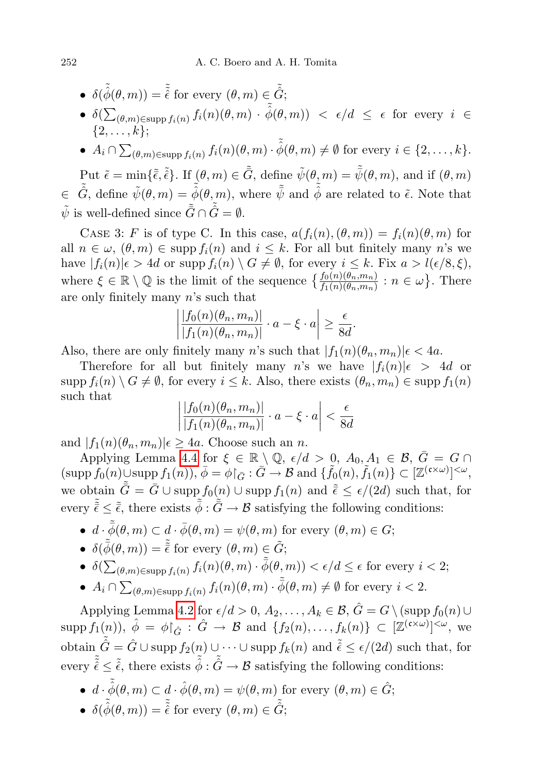- $\delta(\tilde{\hat{\phi}}(\theta, m)) = \tilde{\hat{\epsilon}}$  for every  $(\theta, m) \in \tilde{\hat{G}}$ ;
- $\bullet \ \ \delta(\sum_{(\theta, m) \in \operatorname{supp} f_i(n)} f_i(n)(\theta, m) \ \cdot \ \tilde{\hat{\phi}}(\theta, m)) \ < \ \epsilon/d \ \leq \ \epsilon \ \text{ for every } \ i \ \in$  $\{2, \ldots, k\};$

• 
$$
A_i \cap \sum_{(\theta,m) \in \text{supp } f_i(n)} f_i(n)(\theta, m) \cdot \tilde{\hat{\phi}}(\theta, m) \neq \emptyset
$$
 for every  $i \in \{2, ..., k\}.$ 

Put  $\tilde{\epsilon} = \min{\{\tilde{\epsilon}, \tilde{\hat{\epsilon}}\}}$ . If  $(\theta, m) \in \tilde{\tilde{G}}$ , define  $\tilde{\psi}(\theta, m) = \tilde{\tilde{\psi}}(\theta, m)$ , and if  $(\theta, m)$  $\in \tilde{G}$ , define  $\tilde{\psi}(\theta, m) = \tilde{\hat{\phi}}(\theta, m)$ , where  $\tilde{\bar{\psi}}$  and  $\tilde{\hat{\phi}}$  are related to  $\tilde{\epsilon}$ . Note that  $\tilde{\psi}$  is well-defined since  $\tilde{\tilde{G}} \cap \tilde{\tilde{G}} = \emptyset$ .

CASE 3: F is of type C. In this case,  $a(f_i(n),(\theta,m)) = f_i(n)(\theta,m)$  for all  $n \in \omega$ ,  $(\theta, m) \in \text{supp } f_i(n)$  and  $i \leq k$ . For all but finitely many n's we have  $|f_i(n)| \epsilon > 4d$  or supp  $f_i(n) \setminus G \neq \emptyset$ , for every  $i \leq k$ . Fix  $a > l(\epsilon/8, \xi)$ , where  $\xi \in \mathbb{R} \setminus \mathbb{Q}$  is the limit of the sequence  $\left\{ \frac{f_0(n)(\theta_n,m_n)}{f_1(n)(\theta_n,m_n)} : n \in \omega \right\}$ . There are only finitely many n's such that

$$
\left|\frac{|f_0(n)(\theta_n, m_n)|}{|f_1(n)(\theta_n, m_n)|} \cdot a - \xi \cdot a\right| \ge \frac{\epsilon}{8d}.
$$

Also, there are only finitely many n's such that  $|f_1(n)(\theta_n, m_n)| \epsilon < 4a$ .

Therefore for all but finitely many n's we have  $|f_i(n)| \epsilon > 4d$  or supp  $f_i(n) \setminus G \neq \emptyset$ , for every  $i \leq k$ . Also, there exists  $(\theta_n, m_n) \in \text{supp } f_1(n)$ such that

$$
\left| \frac{|f_0(n)(\theta_n, m_n)|}{|f_1(n)(\theta_n, m_n)|} \cdot a - \xi \cdot a \right| < \frac{\epsilon}{8d}
$$

and  $|f_1(n)(\theta_n, m_n)| \epsilon \ge 4a$ . Choose such an n.

Applying Lemma [4.4](#page-14-1) for  $\xi \in \mathbb{R} \setminus \mathbb{Q}$ ,  $\epsilon/d > 0$ ,  $A_0, A_1 \in \mathcal{B}$ ,  $\overline{G} = G \cap$  $(\text{supp } f_0(n) \cup \text{supp } f_1(n)), \bar{\phi} = \phi \upharpoonright_{\bar{G}} : \bar{G} \to \mathcal{B} \text{ and } \{ \tilde{f}_0(n), \tilde{f}_1(n) \} \subset [\mathbb{Z}^{(\mathfrak{c} \times \omega)}]^{<\omega},$ we obtain  $\tilde{G} = \tilde{G} \cup \text{supp } f_0(n) \cup \text{supp } f_1(n)$  and  $\tilde{\epsilon} \leq \epsilon/(2d)$  such that, for every  $\tilde{\tilde{\epsilon}} \leq \tilde{\tilde{\epsilon}}$ , there exists  $\tilde{\phi} : \tilde{\tilde{G}} \to \mathcal{B}$  satisfying the following conditions:

•  $d \cdot \tilde{\phi}(\theta, m) \subset d \cdot \bar{\phi}(\theta, m) = \psi(\theta, m)$  for every  $(\theta, m) \in G$ ;

• 
$$
\delta(\tilde{\phi}(\theta,m)) = \tilde{\tilde{\epsilon}}
$$
 for every  $(\theta,m) \in \tilde{G}$ ;

- $\delta(\sum_{(\theta,m)\in \text{supp }f_i(n)} f_i(n)(\theta, m) \cdot \tilde{\bar{\phi}}(\theta, m)) < \epsilon/d \leq \epsilon$  for every  $i < 2$ ;
- $A_i \cap \sum_{(\theta,m)\in \text{supp } f_i(n)} f_i(n)(\theta, m) \cdot \tilde{\phi}(\theta, m) \neq \emptyset$  for every  $i < 2$ .

Applying Lemma [4.2](#page-11-0) for  $\epsilon/d > 0$ ,  $A_2, \ldots, A_k \in \mathcal{B}, \hat{G} = G \setminus (\text{supp } f_0(n) \cup$  $\text{supp } f_1(n)$ ),  $\hat{\phi} = \phi|_{\hat{G}} : \hat{G} \to \mathcal{B}$  and  $\{f_2(n), \ldots, f_k(n)\} \subset [\mathbb{Z}^{(\mathfrak{c} \times \omega)}]^{<\omega}$ , we obtain  $\hat{G} = \hat{G} \cup \text{supp } f_2(n) \cup \cdots \cup \text{supp } f_k(n)$  and  $\tilde{\epsilon} \leq \epsilon/(2d)$  such that, for every  $\tilde{\tilde{\epsilon}} \leq \tilde{\tilde{\epsilon}}$ , there exists  $\tilde{\hat{\phi}} : \tilde{\tilde{G}} \to \mathcal{B}$  satisfying the following conditions:

- $d \cdot \tilde{\hat{\phi}}(\theta, m) \subset d \cdot \hat{\phi}(\theta, m) = \psi(\theta, m)$  for every  $(\theta, m) \in \hat{G}$ ;
- $\delta(\tilde{\hat{\phi}}(\theta, m)) = \tilde{\hat{\epsilon}}$  for every  $(\theta, m) \in \tilde{\hat{G}}$ ;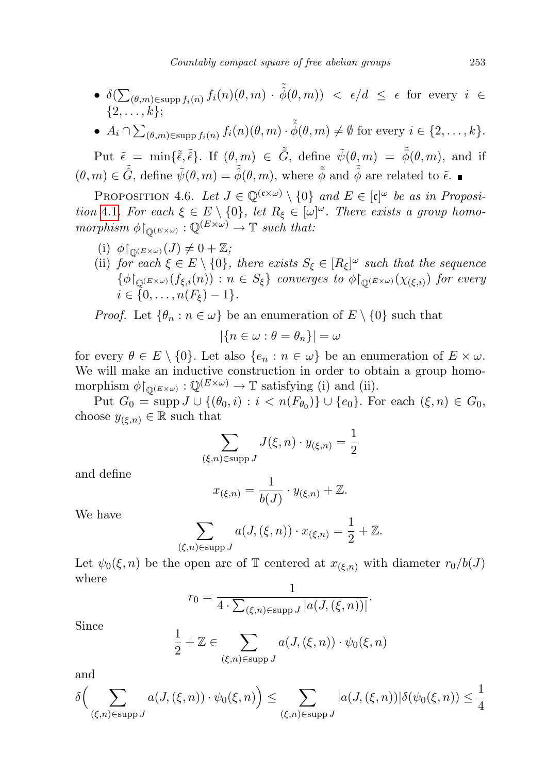Countably compact square of free abelian groups 253

 $\bullet \ \ \delta(\sum_{(\theta, m)\in \operatorname{supp} f_i(n)} f_i(n)(\theta, m) \ \cdot \ \tilde{\hat{\phi}}(\theta, m)) \ < \ \epsilon/d \ \leq \ \epsilon \ \text{ for every } \ i \ \in$  $\{2, \ldots, k\};$ 

• 
$$
A_i \cap \sum_{(\theta,m)\in \text{supp } f_i(n)} f_i(n)(\theta, m) \cdot \tilde{\hat{\phi}}(\theta, m) \neq \emptyset
$$
 for every  $i \in \{2, ..., k\}.$ 

Put  $\tilde{\epsilon} = \min\{\tilde{\epsilon}, \tilde{\epsilon}\}.$  If  $(\theta, m) \in \tilde{\bar{G}},$  define  $\tilde{\psi}(\theta, m) = \tilde{\bar{\phi}}(\theta, m)$ , and if  $(\theta, m) \in \tilde{\hat{G}}$ , define  $\tilde{\psi}(\theta, m) = \tilde{\hat{\phi}}(\theta, m)$ , where  $\tilde{\hat{\phi}}$  and  $\tilde{\hat{\phi}}$  are related to  $\tilde{\epsilon}$ .

<span id="page-18-0"></span>PROPOSITION 4.6. Let  $J \in \mathbb{Q}^{(\mathfrak{c} \times \omega)} \setminus \{0\}$  and  $E \in [\mathfrak{c}]^{\omega}$  be as in Proposi-tion [4](#page-10-0).1. For each  $\xi \in E \setminus \{0\}$ , let  $R_{\xi} \in [\omega]^{\omega}$ . There exists a group homomorphism  $\phi|_{\mathbb{Q}(E\times\omega)} : \mathbb{Q}^{(E\times\omega)} \to \mathbb{T}$  such that:

- (i)  $\phi$ [<sub>Q</sub>(Exω)(J)  $\neq$  0 + Z;
- (ii) for each  $\xi \in E \setminus \{0\}$ , there exists  $S_{\xi} \in [R_{\xi}]^{\omega}$  such that the sequence  $\{\phi|_{\mathbb{Q}^{(E\times\omega)}}(f_{\xi,i}(n)) : n \in S_{\xi}\}\$ converges to  $\phi|_{\mathbb{Q}^{(E\times\omega)}}(\chi_{(\xi,i)})$  for every  $i \in \{0, \ldots, n(F_{\xi}) - 1\}.$

*Proof.* Let  $\{\theta_n : n \in \omega\}$  be an enumeration of  $E \setminus \{0\}$  such that

$$
|\{n\in\omega:\theta=\theta_n\}|=\omega
$$

for every  $\theta \in E \setminus \{0\}$ . Let also  $\{e_n : n \in \omega\}$  be an enumeration of  $E \times \omega$ . We will make an inductive construction in order to obtain a group homomorphism  $\phi|_{\mathbb{Q}(E\times\omega)}:\mathbb{Q}^{(E\times\omega)}\to\mathbb{T}$  satisfying (i) and (ii).

Put  $G_0 = \text{supp } J \cup \{(\theta_0, i) : i \lt n(F_{\theta_0})\} \cup \{e_0\}$ . For each  $(\xi, n) \in G_0$ , choose  $y_{(\xi,n)} \in \mathbb{R}$  such that

$$
\sum_{(\xi,n)\in \text{supp }J} J(\xi,n)\cdot y_{(\xi,n)}=\frac{1}{2}
$$

and define

$$
x_{(\xi,n)} = \frac{1}{b(J)} \cdot y_{(\xi,n)} + \mathbb{Z}.
$$

We have

$$
\sum_{(\xi,n)\in \text{supp }J} a(J,(\xi,n)) \cdot x_{(\xi,n)} = \frac{1}{2} + \mathbb{Z}.
$$

Let  $\psi_0(\xi, n)$  be the open arc of T centered at  $x_{(\xi,n)}$  with diameter  $r_0/b(J)$ where

$$
r_0 = \frac{1}{4 \cdot \sum_{(\xi,n) \in \text{supp } J} |a(J,(\xi,n))|}.
$$

**Since** 

$$
\frac{1}{2} + \mathbb{Z} \in \sum_{(\xi,n)\in \text{supp }J} a(J,(\xi,n)) \cdot \psi_0(\xi,n)
$$

and

$$
\delta\Big(\sum_{(\xi,n)\in\text{supp }J} a(J,(\xi,n))\cdot\psi_0(\xi,n)\Big)\leq \sum_{(\xi,n)\in\text{supp }J}|a(J,(\xi,n))|\delta(\psi_0(\xi,n))\leq\frac{1}{4}
$$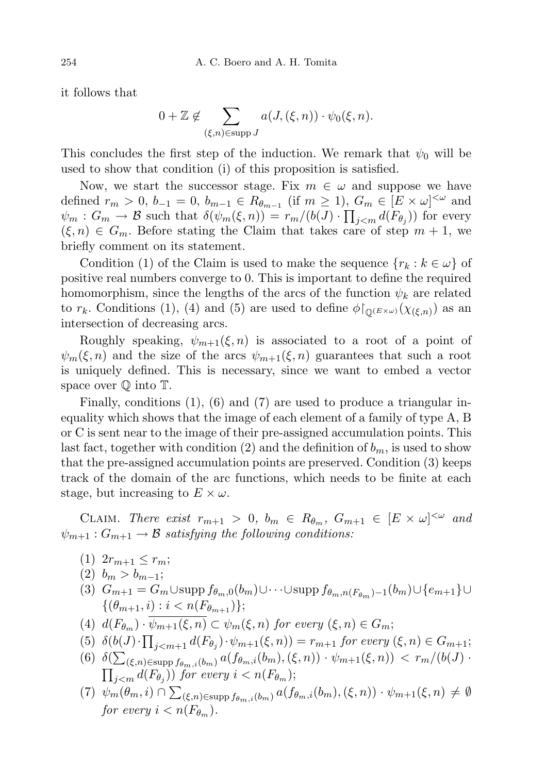it follows that

$$
0+\mathbb{Z} \notin \sum_{(\xi,n)\in \operatorname{supp} J} a(J,(\xi,n))\cdot \psi_0(\xi,n).
$$

This concludes the first step of the induction. We remark that  $\psi_0$  will be used to show that condition (i) of this proposition is satisfied.

Now, we start the successor stage. Fix  $m \in \omega$  and suppose we have defined  $r_m > 0$ ,  $b_{-1} = 0$ ,  $b_{m-1} \in R_{\theta_{m-1}}$  (if  $m \ge 1$ ),  $G_m \in [E \times \omega]^{< \omega}$  and  $\psi_m: G_m \to \mathcal{B}$  such that  $\delta(\psi_m(\xi, n)) = r_m/(b(J) \cdot \prod_{j \leq m} d(F_{\theta_j}))$  for every  $(\xi, n) \in G_m$ . Before stating the Claim that takes care of step  $m + 1$ , we briefly comment on its statement.

Condition (1) of the Claim is used to make the sequence  ${r_k : k \in \omega}$  of positive real numbers converge to 0. This is important to define the required homomorphism, since the lengths of the arcs of the function  $\psi_k$  are related to  $r_k$ . Conditions (1), (4) and (5) are used to define  $\phi|_{\mathbb{Q}^{(E \times \omega)}}(\chi_{(\xi,n)})$  as an intersection of decreasing arcs.

Roughly speaking,  $\psi_{m+1}(\xi, n)$  is associated to a root of a point of  $\psi_m(\xi, n)$  and the size of the arcs  $\psi_{m+1}(\xi, n)$  guarantees that such a root is uniquely defined. This is necessary, since we want to embed a vector space over  $\mathbb Q$  into  $\mathbb T$ .

Finally, conditions (1), (6) and (7) are used to produce a triangular inequality which shows that the image of each element of a family of type A, B or C is sent near to the image of their pre-assigned accumulation points. This last fact, together with condition (2) and the definition of  $b_m$ , is used to show that the pre-assigned accumulation points are preserved. Condition (3) keeps track of the domain of the arc functions, which needs to be finite at each stage, but increasing to  $E \times \omega$ .

CLAIM. There exist  $r_{m+1} > 0$ ,  $b_m \in R_{\theta_m}$ ,  $G_{m+1} \in [E \times \omega]^{<\omega}$  and  $\psi_{m+1}: G_{m+1} \to \mathcal{B}$  satisfying the following conditions:

- (1)  $2r_{m+1} \leq r_m$ ;
- $(2)$   $b_m > b_{m-1};$
- (3)  $G_{m+1} = G_m \cup \text{supp } f_{\theta_m,0}(b_m) \cup \cdots \cup \text{supp } f_{\theta_m,n(F_{\theta_m})-1}(b_m) \cup \{e_{m+1}\} \cup$  $\{(\theta_{m+1}, i) : i < n(F_{\theta_{m+1}})\};$
- (4)  $d(F_{\theta_m}) \cdot \overline{\psi_{m+1}(\xi,n)} \subset \psi_m(\xi,n)$  for every  $(\xi,n) \in G_m$ ;
- (5)  $\delta(b(J) \cdot \prod_{j \leq m+1} d(F_{\theta_j}) \cdot \psi_{m+1}(\xi, n)) = r_{m+1}$  for every  $(\xi, n) \in G_{m+1}$ ;
- (6)  $\delta(\sum_{(\xi,n)\in \text{supp }f_{\theta_m,i}(b_m)} a(f_{\theta_m,i}(b_m),(\xi,n)) \cdot \psi_{m+1}(\xi,n)) < r_m/(b(J))$  $\prod_{j for every  $i < n(F_{\theta_m})$ ;$
- (7)  $\psi_m(\theta_m, i) \cap \sum_{(\xi,n)\in \text{supp } f_{\theta_m,i}(b_m)} a(f_{\theta_m,i}(b_m),(\xi,n)) \cdot \psi_{m+1}(\xi,n) \neq \emptyset$ for every  $i < n(F_{\theta_m})$ .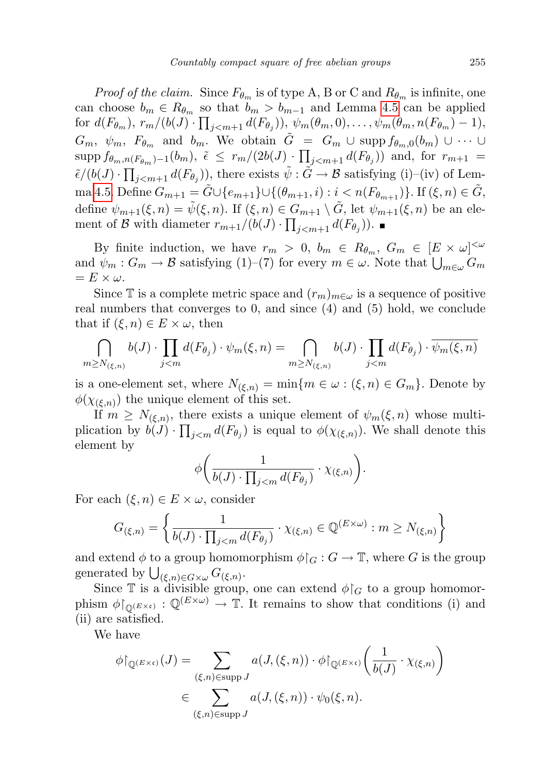*Proof of the claim.* Since  $F_{\theta_m}$  is of type A, B or C and  $R_{\theta_m}$  is infinite, one can choose  $b_m \in R_{\theta_m}$  so that  $b_m > b_{m-1}$  and Lemma [4.5](#page-15-0) can be applied for  $d(F_{\theta_m})$ ,  $r_m/(b(J) \cdot \prod_{j,  $\psi_m(\theta_m, 0)$ , ...,  $\psi_m(\theta_m, n(F_{\theta_m}) - 1)$ ,$  $G_m$ ,  $\psi_m$ ,  $F_{\theta_m}$  and  $b_m$ . We obtain  $\tilde{G} = G_m \cup \text{supp } f_{\theta_m,0}(b_m) \cup \cdots \cup$  $\sup p f_{\theta_m,n(F_{\theta_m})-1}(b_m), \ \tilde{\epsilon} \ \leq \ r_m/(2b(J) \cdot \prod_{j$  $\tilde{\epsilon}/(b(J) \cdot \prod_{j, there exists  $\tilde{\psi}: \tilde{G} \to \mathcal{B}$  satisfying (i)–(iv) of Lem-$ ma [4.5.](#page-15-0) Define  $G_{m+1} = \tilde{G} \cup \{e_{m+1}\} \cup \{(\theta_{m+1}, i) : i < n(F_{\theta_{m+1}})\}\.$  If  $(\xi, n) \in \tilde{G}$ , define  $\psi_{m+1}(\xi, n) = \tilde{\psi}(\xi, n)$ . If  $(\xi, n) \in G_{m+1} \setminus \tilde{G}$ , let  $\psi_{m+1}(\xi, n)$  be an element of B with diameter  $r_{m+1}/(b(J) \cdot \prod_{j.$ 

By finite induction, we have  $r_m > 0$ ,  $b_m \in R_{\theta_m}$ ,  $G_m \in [E \times \omega]^{<\omega}$ and  $\psi_m: G_m \to \mathcal{B}$  satisfying (1)–(7) for every  $m \in \omega$ . Note that  $\bigcup_{m \in \omega} G_m$  $= E \times \omega$ .

Since T is a complete metric space and  $(r_m)_{m\in\omega}$  is a sequence of positive real numbers that converges to 0, and since (4) and (5) hold, we conclude that if  $(\xi, n) \in E \times \omega$ , then

$$
\bigcap_{m \ge N_{(\xi,n)}} b(J) \cdot \prod_{j < m} d(F_{\theta_j}) \cdot \psi_m(\xi, n) = \bigcap_{m \ge N_{(\xi,n)}} b(J) \cdot \prod_{j < m} d(F_{\theta_j}) \cdot \overline{\psi_m(\xi, n)}
$$

is a one-element set, where  $N_{(\xi,n)} = \min\{m \in \omega : (\xi,n) \in G_m\}$ . Denote by  $\phi(\chi_{(\xi,n)})$  the unique element of this set.

If  $m \geq N_{(\xi,n)}$ , there exists a unique element of  $\psi_m(\xi,n)$  whose multiplication by  $b(J) \cdot \prod_{j \leq m} d(F_{\theta_j})$  is equal to  $\phi(\chi_{(\xi,n)})$ . We shall denote this element by

$$
\phi\bigg(\frac{1}{b(J)\cdot\prod_{j
$$

For each  $(\xi, n) \in E \times \omega$ , consider

$$
G_{(\xi,n)} = \left\{ \frac{1}{b(J) \cdot \prod_{j < m} d(F_{\theta_j})} \cdot \chi_{(\xi,n)} \in \mathbb{Q}^{(E \times \omega)} : m \ge N_{(\xi,n)} \right\}
$$

and extend  $\phi$  to a group homomorphism  $\phi|_G : G \to \mathbb{T}$ , where G is the group generated by  $\bigcup_{(\xi,n)\in G\times\omega} G_{(\xi,n)}$ .

Since  $\mathbb T$  is a divisible group, one can extend  $\phi \upharpoonright_G$  to a group homomorphism  $\phi|_{\mathbb{Q}(E\times\mathfrak{c})}: \mathbb{Q}^{(E\times\omega)} \to \mathbb{T}$ . It remains to show that conditions (i) and (ii) are satisfied.

We have

$$
\phi|_{\mathbb{Q}^{(E \times \mathfrak{c})}}(J) = \sum_{(\xi,n) \in \text{supp } J} a(J,(\xi,n)) \cdot \phi|_{\mathbb{Q}^{(E \times \mathfrak{c})}} \left(\frac{1}{b(J)} \cdot \chi_{(\xi,n)}\right)
$$

$$
\in \sum_{(\xi,n) \in \text{supp } J} a(J,(\xi,n)) \cdot \psi_0(\xi,n).
$$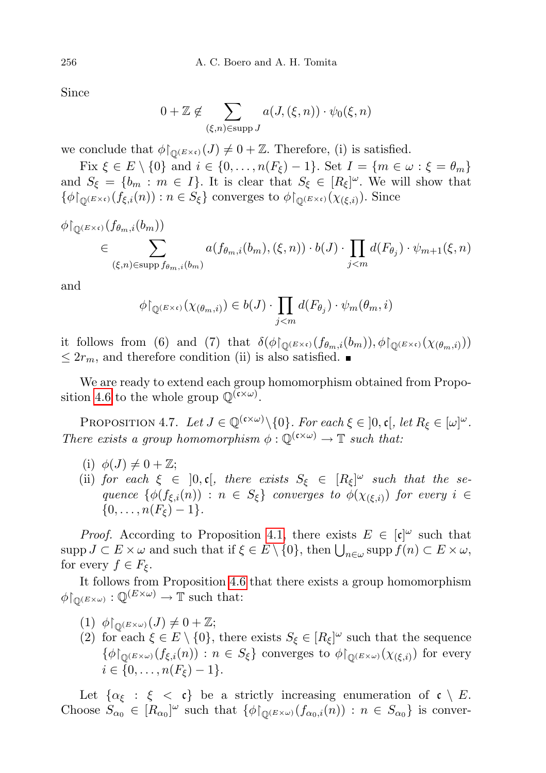Since

$$
0 + \mathbb{Z} \notin \sum_{(\xi,n) \in \text{supp } J} a(J,(\xi,n)) \cdot \psi_0(\xi,n)
$$

we conclude that  $\phi|_{\mathbb{Q}(E\times c)}(J) \neq 0 + \mathbb{Z}$ . Therefore, (i) is satisfied.

Fix  $\xi \in E \setminus \{0\}$  and  $i \in \{0, \ldots, n(F_{\xi}) - 1\}$ . Set  $I = \{m \in \omega : \xi = \theta_m\}$ and  $S_{\xi} = \{b_m : m \in I\}$ . It is clear that  $S_{\xi} \in [R_{\xi}]^{\omega}$ . We will show that  $\{\phi|_{\mathbb{Q}^{(E\times\mathfrak{c})}}(f_{\xi,i}(n)) : n \in S_{\xi}\}\)$  converges to  $\phi|_{\mathbb{Q}^{(E\times\mathfrak{c})}}(\chi_{(\xi,i)})$ . Since

$$
\phi|_{\mathbb{Q}^{(E\times\mathfrak{c})}}(f_{\theta_m,i}(b_m))\n\in \sum_{(\xi,n)\in\text{supp }f_{\theta_m,i}(b_m)} a(f_{\theta_m,i}(b_m),(\xi,n))\cdot b(J)\cdot \prod_{j
$$

and

$$
\phi|_{\mathbb{Q}^{(E \times \mathfrak{c})}}(\chi_{(\theta_m,i)}) \in b(J) \cdot \prod_{j < m} d(F_{\theta_j}) \cdot \psi_m(\theta_m,i)
$$

it follows from (6) and (7) that  $\delta(\phi|_{\mathbb{Q}^{(E\times\mathfrak{c})}}(f_{\theta_m,i}(b_m)), \phi|_{\mathbb{Q}^{(E\times\mathfrak{c})}}(\chi_{(\theta_m,i)}))$  $≤ 2r_m$ , and therefore condition (ii) is also satisfied. ■

We are ready to extend each group homomorphism obtained from Propo-sition [4.6](#page-18-0) to the whole group  $\mathbb{Q}^{(\mathfrak{c}\times\omega)}$ .

<span id="page-21-0"></span>PROPOSITION 4.7. Let  $J \in \mathbb{Q}^{(\mathfrak{c} \times \omega)} \setminus \{0\}$ . For each  $\xi \in ]0, \mathfrak{c}[, let R_{\xi} \in [\omega]^{\omega}$ . There exists a group homomorphism  $\phi : \mathbb{Q}^{(\mathfrak{c} \times \omega)} \to \mathbb{T}$  such that:

- (i)  $\phi(J) \neq 0 + \mathbb{Z};$
- (ii) for each  $\xi \in ]0, \mathfrak{c}[$ , there exists  $S_{\xi} \in [R_{\xi}]^{\omega}$  such that the sequence  $\{\phi(f_{\xi,i}(n)) : n \in S_{\xi}\}\$  converges to  $\phi(\chi_{(\xi,i)})$  for every  $i \in$  $\{0, \ldots, n(F_{\xi})-1\}.$

*Proof.* According to Proposition [4.1,](#page-10-0) there exists  $E \in [\mathfrak{c}]^{\omega}$  such that  $\text{supp } J \subset E \times \omega$  and such that if  $\xi \in E \setminus \{0\}$ , then  $\bigcup_{n \in \omega} \text{supp } f(n) \subset E \times \omega$ , for every  $f \in F_{\xi}$ .

It follows from Proposition [4.6](#page-18-0) that there exists a group homomorphism  $\phi|_{\mathbb{Q}(E\times\omega)}:\mathbb{Q}^{(E\times\omega)}\to\mathbb{T}$  such that:

- $(1)$   $\phi|_{\mathbb{O}(E\times\omega)}(J) \neq 0 + \mathbb{Z};$
- (2) for each  $\xi \in E \setminus \{0\}$ , there exists  $S_{\xi} \in [R_{\xi}]^{\omega}$  such that the sequence  $\{\phi|_{\mathbb{Q}^{(E\times\omega)}}(f_{\xi,i}(n)) : n \in S_{\xi}\}\)$  converges to  $\phi|_{\mathbb{Q}^{(E\times\omega)}}(\chi_{(\xi,i)})\)$  for every  $i \in \{0, \ldots, n(F_{\xi}) - 1\}.$

Let  $\{\alpha_{\xi} : \xi < \mathfrak{c}\}\$ be a strictly increasing enumeration of  $\mathfrak{c} \setminus E$ . Choose  $S_{\alpha_0} \in [R_{\alpha_0}]^{\omega}$  such that  $\{\phi|_{\mathbb{Q}(E \times \omega)}(f_{\alpha_0,i}(n)) : n \in S_{\alpha_0}\}\)$  is conver-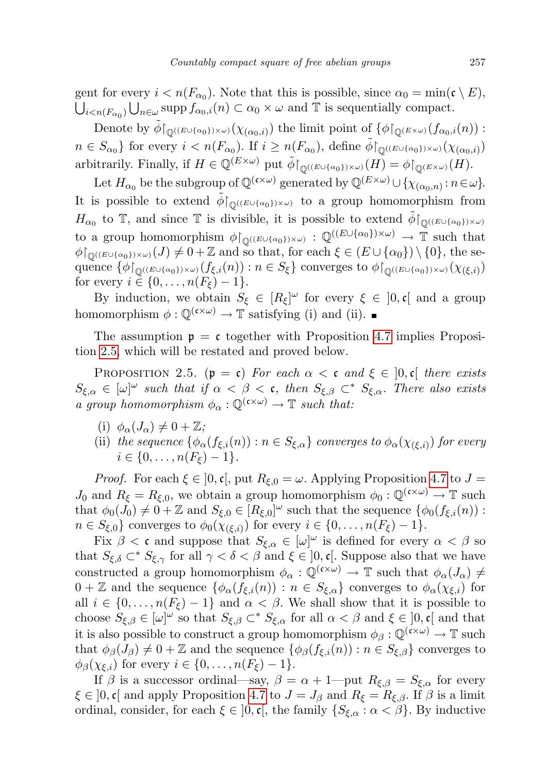gent for every  $i < n(F_{\alpha_0})$ . Note that this is possible, since  $\alpha_0 = \min(\mathfrak{c} \setminus E)$ ,  $\bigcup_{i\leq n(F_{\alpha_0})}\bigcup_{n\in\omega} \text{supp } f_{\alpha_0,i}(n)\subset \alpha_0\times \omega \text{ and } \mathbb{T}$  is sequentially compact.

Denote by  $\tilde{\phi}\vert_{\mathbb{Q}^{(\langle E\cup \{\alpha_0\}\rangle \times \omega)}}(\chi_{(\alpha_0,i)})$  the limit point of  $\{\phi\vert_{\mathbb{Q}^{(\langle E\times \omega)}}(f_{\alpha_0,i}(n))$ :  $n \in S_{\alpha_0}$  for every  $i < n(F_{\alpha_0})$ . If  $i \geq n(F_{\alpha_0})$ , define  $\tilde{\phi}\upharpoonright_{\mathbb{Q}((E\cup{\{\alpha_0\}})\times\omega)}(\chi_{(\alpha_0,i)})$ arbitrarily. Finally, if  $H \in \mathbb{Q}^{(E \times \omega)}$  put  $\tilde{\phi}|_{\mathbb{Q}^{((E \cup {\alpha_0}) \times \omega)}}(H) = \phi|_{\mathbb{Q}^{(E \times \omega)}}(H)$ .

Let  $H_{\alpha_0}$  be the subgroup of  $\mathbb{Q}^{(\mathfrak{c} \times \omega)}$  generated by  $\mathbb{Q}^{(E \times \omega)} \cup \{\chi_{(\alpha_0,n)} : n \in \omega\}$ . It is possible to extend  $\phi|_{\mathbb{Q}((E\cup{\{\alpha_0\}})\times\omega)}$  to a group homomorphism from  $H_{\alpha_0}$  to  $\mathbb T$ , and since  $\mathbb T$  is divisible, it is possible to extend  $\tilde{\phi}|_{\mathbb Q((E\cup{\{\alpha_0\}})\times\omega)}$ to a group homomorphism  $\phi|_{\mathbb{O}((E\cup{\{\alpha_0\}})\times\omega)} : \mathbb{Q}^{((E\cup{\{\alpha_0\}})\times\omega)} \to \mathbb{T}$  such that  $\phi|_{\mathbb{O}((E\cup{\{\alpha_0\}})\times\omega)}(J) \neq 0+\mathbb{Z}$  and so that, for each  $\xi \in (E\cup{\{\alpha_0\}})\setminus{\{0\}}$ , the sequence  $\{\phi|_{\mathbb{Q}((E \cup \{\alpha_0\}) \times \omega)}(f_{\xi,i}(n)) : n \in S_{\xi}\}\)$  converges to  $\phi|_{\mathbb{Q}((E \cup \{\alpha_0\}) \times \omega)}(\chi_{(\xi,i)})$ for every  $i \in \{0, \ldots, n(F_{\xi}) - 1\}.$ 

By induction, we obtain  $S_{\xi} \in [R_{\xi}]^{\omega}$  for every  $\xi \in ]0,\mathfrak{c}]$  and a group homomorphism  $\phi : \mathbb{Q}^{(\mathfrak{c} \times \omega)} \to \mathbb{T}$  satisfying (i) and (ii).

The assumption  $p = c$  together with Proposition [4.7](#page-21-0) implies Proposition [2.5,](#page-5-2) which will be restated and proved below.

PROPOSITION 2.5. ( $\mathfrak{p} = \mathfrak{c}$ ) For each  $\alpha < \mathfrak{c}$  and  $\xi \in [0, \mathfrak{c}]$  there exists  $S_{\xi,\alpha} \in [\omega]^\omega$  such that if  $\alpha < \beta < \mathfrak{c}$ , then  $S_{\xi,\beta} \subset^* S_{\xi,\alpha}$ . There also exists a group homomorphism  $\phi_{\alpha} : \mathbb{Q}^{(\mathfrak{c} \times \omega)} \to \mathbb{T}$  such that:

- (i)  $\phi_{\alpha}(J_{\alpha}) \neq 0 + \mathbb{Z};$
- (ii) the sequence  $\{\phi_\alpha(f_{\xi,i}(n)) : n \in S_{\xi,\alpha}\}\)$  converges to  $\phi_\alpha(\chi_{(\xi,i)})$  for every  $i \in \{0, \ldots, n(F_{\xi}) - 1\}.$

*Proof.* For each  $\xi \in [0, \mathfrak{c}]$ , put  $R_{\xi,0} = \omega$ . Applying Proposition [4.7](#page-21-0) to  $J =$  $J_0$  and  $R_{\xi} = R_{\xi,0}$ , we obtain a group homomorphism  $\phi_0 : \mathbb{Q}^{(\epsilon \times \omega)} \to \mathbb{T}$  such that  $\phi_0(J_0) \neq 0 + \mathbb{Z}$  and  $S_{\xi,0} \in [R_{\xi,0}]^{\omega}$  such that the sequence  $\{\phi_0(f_{\xi,i}(n))\}$  $n \in S_{\xi,0}$ } converges to  $\phi_0(\chi_{(\xi,i)})$  for every  $i \in \{0,\ldots,n(F_{\xi})-1\}$ .

Fix  $\beta < \mathfrak{c}$  and suppose that  $S_{\xi,\alpha} \in [\omega]^\omega$  is defined for every  $\alpha < \beta$  so that  $S_{\xi,\delta} \subset^* S_{\xi,\gamma}$  for all  $\gamma < \delta < \beta$  and  $\xi \in ]0,\mathfrak{c}[\square]$ . Suppose also that we have constructed a group homomorphism  $\phi_{\alpha}: \mathbb{Q}^{(\mathfrak{c} \times \omega)} \to \mathbb{T}$  such that  $\phi_{\alpha}(J_{\alpha}) \neq$  $0 + \mathbb{Z}$  and the sequence  $\{\phi_{\alpha}(f_{\xi,i}(n)) : n \in S_{\xi,\alpha}\}\)$  converges to  $\phi_{\alpha}(\chi_{\xi,i})$  for all  $i \in \{0, \ldots, n(F_{\xi}) - 1\}$  and  $\alpha < \beta$ . We shall show that it is possible to choose  $S_{\xi,\beta} \in [\omega]^\omega$  so that  $S_{\xi,\beta} \subset^* S_{\xi,\alpha}$  for all  $\alpha < \beta$  and  $\xi \in [0,\mathfrak{c}]$  and that it is also possible to construct a group homomorphism  $\phi_{\beta}: \mathbb{Q}^{(\mathfrak{c} \times \omega)} \to \mathbb{T}$  such that  $\phi_{\beta}(J_{\beta}) \neq 0 + \mathbb{Z}$  and the sequence  $\{\phi_{\beta}(f_{\xi,i}(n)) : n \in S_{\xi,\beta}\}\)$  converges to  $\phi_{\beta}(\chi_{\xi,i})$  for every  $i \in \{0,\ldots,n(F_{\xi})-1\}.$ 

If  $\beta$  is a successor ordinal—say,  $\beta = \alpha + 1$ —put  $R_{\xi,\beta} = S_{\xi,\alpha}$  for every  $\xi \in ]0,\mathfrak{c}]$  and apply Proposition [4.7](#page-21-0) to  $J = J_\beta$  and  $R_\xi = R_{\xi,\beta}$ . If  $\beta$  is a limit ordinal, consider, for each  $\xi \in [0, \mathfrak{c}]$ , the family  $\{S_{\xi,\alpha} : \alpha < \beta\}$ . By inductive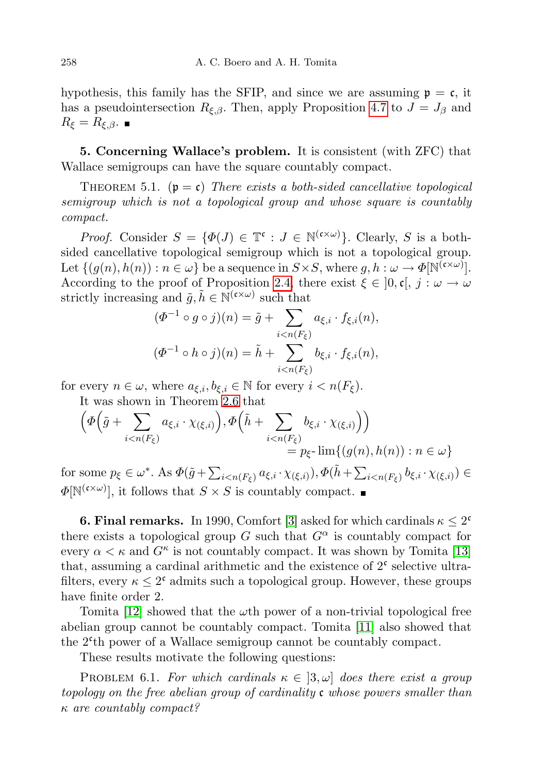hypothesis, this family has the SFIP, and since we are assuming  $p = c$ , it has a pseudointersection  $R_{\xi,\beta}$ . Then, apply Proposition [4.7](#page-21-0) to  $J = J_{\beta}$  and  $R_{\xi} = R_{\xi,\beta}$ .

5. Concerning Wallace's problem. It is consistent (with ZFC) that Wallace semigroups can have the square countably compact.

THEOREM 5.1.  $(\mathfrak{p} = \mathfrak{c})$  There exists a both-sided cancellative topological semigroup which is not a topological group and whose square is countably compact.

*Proof.* Consider  $S = {\Phi(J) \in \mathbb{T}^c : J \in \mathbb{N}^{(c \times \omega)}}$ . Clearly, S is a bothsided cancellative topological semigroup which is not a topological group. Let  $\{(g(n), h(n)) : n \in \omega\}$  be a sequence in  $S \times S$ , where  $g, h : \omega \to \Phi[\mathbb{N}^{(\mathfrak{c} \times \omega)}].$ According to the proof of Proposition [2.4,](#page-5-1) there exist  $\xi \in [0, \mathfrak{c}], j : \omega \to \omega$ strictly increasing and  $\tilde{g}, \tilde{h} \in \mathbb{N}^{(\mathfrak{c} \times \omega)}$  such that

$$
(\Phi^{-1} \circ g \circ j)(n) = \tilde{g} + \sum_{i < n(F_{\xi})} a_{\xi, i} \cdot f_{\xi, i}(n),
$$
\n
$$
(\Phi^{-1} \circ h \circ j)(n) = \tilde{h} + \sum_{i < n(F_{\xi})} b_{\xi, i} \cdot f_{\xi, i}(n),
$$

for every  $n \in \omega$ , where  $a_{\xi,i}, b_{\xi,i} \in \mathbb{N}$  for every  $i < n(F_{\xi})$ .

It was shown in Theorem [2.6](#page-5-0) that

$$
\left(\Phi\left(\tilde{g} + \sum_{i < n(F_{\xi})} a_{\xi,i} \cdot \chi_{(\xi,i)}\right), \Phi\left(\tilde{h} + \sum_{i < n(F_{\xi})} b_{\xi,i} \cdot \chi_{(\xi,i)}\right)\right) \\
= p_{\xi} - \lim\{(g(n), h(n)) : n \in \omega\}
$$

for some  $p_{\xi} \in \omega^*$ . As  $\Phi(\tilde{g} + \sum_{i \leq n(F_{\xi})} a_{\xi,i} \cdot \chi_{(\xi,i)})$ ,  $\Phi(\tilde{h} + \sum_{i \leq n(F_{\xi})} b_{\xi,i} \cdot \chi_{(\xi,i)}) \in$  $\Phi[\mathbb{N}^{(\mathfrak{c}\times\omega)}],$  it follows that  $S\times S$  is countably compact.

**6. Final remarks.** In 1990, Comfort [\[3\]](#page-24-9) asked for which cardinals  $\kappa \leq 2^{\circ}$ there exists a topological group G such that  $G^{\alpha}$  is countably compact for every  $\alpha < \kappa$  and  $G^{\kappa}$  is not countably compact. It was shown by Tomita [\[13\]](#page-25-3) that, assuming a cardinal arithmetic and the existence of  $2^{\mathfrak{c}}$  selective ultrafilters, every  $\kappa \leq 2^{\mathfrak{c}}$  admits such a topological group. However, these groups have finite order 2.

Tomita [\[12\]](#page-25-0) showed that the  $\omega$ th power of a non-trivial topological free abelian group cannot be countably compact. Tomita [\[11\]](#page-25-2) also showed that the 2<sup>c</sup>th power of a Wallace semigroup cannot be countably compact.

These results motivate the following questions:

PROBLEM 6.1. For which cardinals  $\kappa \in [3, \omega]$  does there exist a group topology on the free abelian group of cardinality c whose powers smaller than  $\kappa$  are countably compact?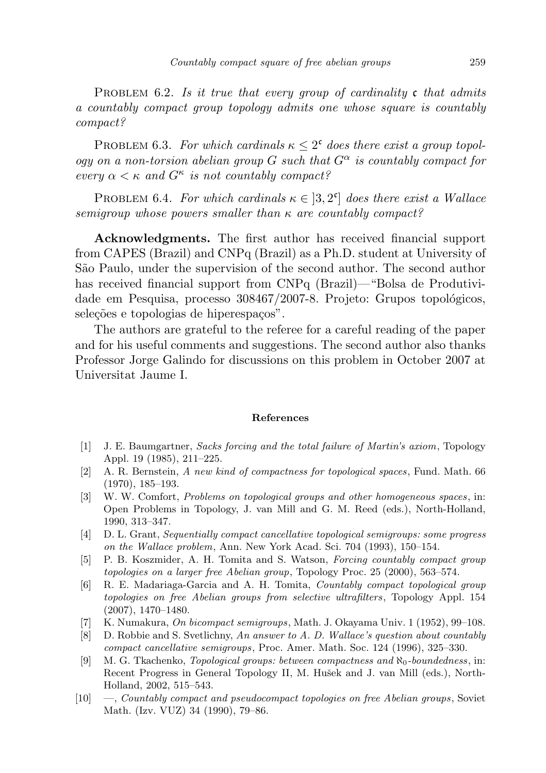PROBLEM 6.2. Is it true that every group of cardinality  $\mathfrak c$  that admits a countably compact group topology admits one whose square is countably compact?

PROBLEM 6.3. For which cardinals  $\kappa \leq 2^{\mathfrak{c}}$  does there exist a group topology on a non-torsion abelian group G such that  $G^{\alpha}$  is countably compact for every  $\alpha < \kappa$  and  $G^{\kappa}$  is not countably compact?

PROBLEM 6.4. For which cardinals  $\kappa \in [3, 2^c]$  does there exist a Wallace semigroup whose powers smaller than  $\kappa$  are countably compact?

Acknowledgments. The first author has received financial support from CAPES (Brazil) and CNPq (Brazil) as a Ph.D. student at University of São Paulo, under the supervision of the second author. The second author has received financial support from CNPq (Brazil)—"Bolsa de Produtividade em Pesquisa, processo  $308467/2007-8$ . Projeto: Grupos topológicos, seleções e topologias de hiperespaços".

The authors are grateful to the referee for a careful reading of the paper and for his useful comments and suggestions. The second author also thanks Professor Jorge Galindo for discussions on this problem in October 2007 at Universitat Jaume I.

## References

- <span id="page-24-3"></span>[1] J. E. Baumgartner, Sacks forcing and the total failure of Martin's axiom, Topology Appl. 19 (1985), 211–225.
- <span id="page-24-8"></span>[2] A. R. Bernstein, A new kind of compactness for topological spaces, Fund. Math. 66 (1970), 185–193.
- <span id="page-24-9"></span>[3] W. W. Comfort, Problems on topological groups and other homogeneous spaces, in: Open Problems in Topology, J. van Mill and G. M. Reed (eds.), North-Holland, 1990, 313–347.
- <span id="page-24-7"></span>[4] D. L. Grant, Sequentially compact cancellative topological semigroups: some progress on the Wallace problem, Ann. New York Acad. Sci. 704 (1993), 150–154.
- <span id="page-24-1"></span>[5] P. B. Koszmider, A. H. Tomita and S. Watson, Forcing countably compact group topologies on a larger free Abelian group, Topology Proc. 25 (2000), 563–574.
- <span id="page-24-2"></span>[6] R. E. Madariaga-Garcia and A. H. Tomita, Countably compact topological group topologies on free Abelian groups from selective ultrafilters, Topology Appl. 154 (2007), 1470–1480.
- <span id="page-24-5"></span>[7] K. Numakura, On bicompact semigroups, Math. J. Okayama Univ. 1 (1952), 99–108.
- <span id="page-24-6"></span>[8] D. Robbie and S. Svetlichny, An answer to A. D. Wallace's question about countably compact cancellative semigroups, Proc. Amer. Math. Soc. 124 (1996), 325–330.
- <span id="page-24-4"></span>[9] M. G. Tkachenko, *Topological groups: between compactness and*  $\aleph_0$ -*boundedness*, in: Recent Progress in General Topology II, M. Hušek and J. van Mill (eds.), North-Holland, 2002, 515–543.
- <span id="page-24-0"></span>[10] —, Countably compact and pseudocompact topologies on free Abelian groups , Soviet Math. (Izv. VUZ) 34 (1990), 79–86.